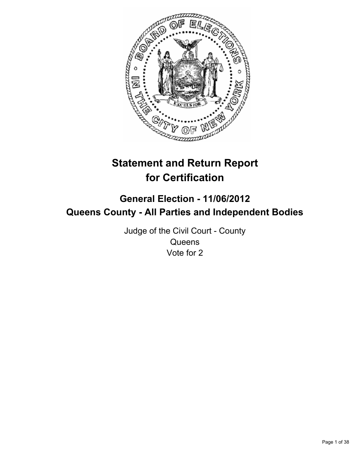

# **Statement and Return Report for Certification**

## **General Election - 11/06/2012 Queens County - All Parties and Independent Bodies**

Judge of the Civil Court - County **Queens** Vote for 2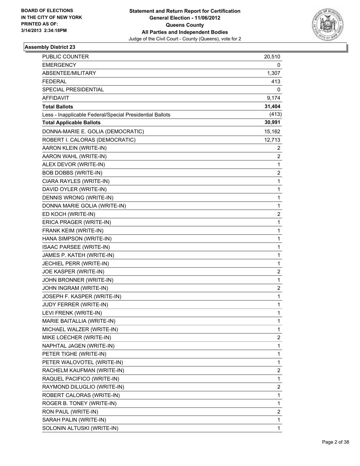

| PUBLIC COUNTER                                           | 20,510         |
|----------------------------------------------------------|----------------|
| <b>EMERGENCY</b>                                         | 0              |
| ABSENTEE/MILITARY                                        | 1,307          |
| <b>FEDERAL</b>                                           | 413            |
| SPECIAL PRESIDENTIAL                                     | 0              |
| <b>AFFIDAVIT</b>                                         | 9,174          |
| <b>Total Ballots</b>                                     | 31,404         |
| Less - Inapplicable Federal/Special Presidential Ballots | (413)          |
| <b>Total Applicable Ballots</b>                          | 30,991         |
| DONNA-MARIE E. GOLIA (DEMOCRATIC)                        | 15,162         |
| ROBERT I. CALORAS (DEMOCRATIC)                           | 12,713         |
| AARON KLEIN (WRITE-IN)                                   | 2              |
| AARON WAHL (WRITE-IN)                                    | $\overline{c}$ |
| ALEX DEVOR (WRITE-IN)                                    | 1              |
| BOB DOBBS (WRITE-IN)                                     | 2              |
| CIARA RAYLES (WRITE-IN)                                  | 1              |
| DAVID OYLER (WRITE-IN)                                   | 1              |
| DENNIS WRONG (WRITE-IN)                                  | 1              |
| DONNA MARIE GOLIA (WRITE-IN)                             | 1              |
| ED KOCH (WRITE-IN)                                       | 2              |
| ERICA PRAGER (WRITE-IN)                                  | 1              |
| FRANK KEIM (WRITE-IN)                                    | 1              |
| HANA SIMPSON (WRITE-IN)                                  | 1              |
| ISAAC PARSEE (WRITE-IN)                                  | 1              |
| JAMES P. KATEH (WRITE-IN)                                | 1              |
| JECHIEL PERR (WRITE-IN)                                  | 1              |
| JOE KASPER (WRITE-IN)                                    | 2              |
| JOHN BRONNER (WRITE-IN)                                  | 1              |
| JOHN INGRAM (WRITE-IN)                                   | 2              |
| JOSEPH F. KASPER (WRITE-IN)                              | 1              |
| JUDY FERRER (WRITE-IN)                                   | 1              |
| LEVI FRENK (WRITE-IN)                                    | 1              |
| MARIE BAITALLIA (WRITE-IN)                               | 1              |
| MICHAEL WALZER (WRITE-IN)                                | 1              |
| MIKE LOECHER (WRITE-IN)                                  | 2              |
| NAPHTAL JAGEN (WRITE-IN)                                 | 1              |
| PETER TIGHE (WRITE-IN)                                   | 1              |
| PETER WALOVOTEL (WRITE-IN)                               | 1              |
| RACHELM KAUFMAN (WRITE-IN)                               | 2              |
| RAQUEL PACIFICO (WRITE-IN)                               | $\mathbf{1}$   |
| RAYMOND DILUGLIO (WRITE-IN)                              | 2              |
| ROBERT CALORAS (WRITE-IN)                                | 1              |
| ROGER B. TONEY (WRITE-IN)                                | 1              |
| RON PAUL (WRITE-IN)                                      | 2              |
| SARAH PALIN (WRITE-IN)                                   | 1              |
| SOLONIN ALTUSKI (WRITE-IN)                               | 1              |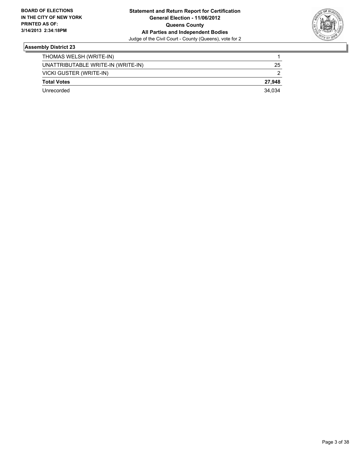

| THOMAS WELSH (WRITE-IN)            |        |
|------------------------------------|--------|
| UNATTRIBUTABLE WRITE-IN (WRITE-IN) | 25     |
| VICKI GUSTER (WRITE-IN)            | 2      |
| <b>Total Votes</b>                 | 27.948 |
| Unrecorded                         | 34.034 |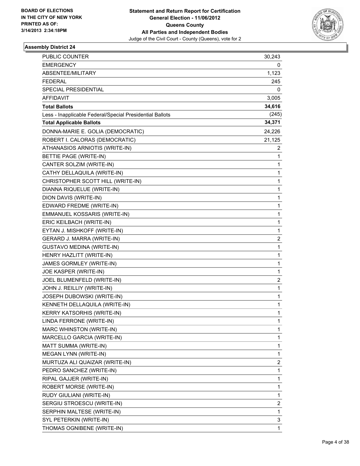

| PUBLIC COUNTER                                           | 30,243                  |
|----------------------------------------------------------|-------------------------|
| <b>EMERGENCY</b>                                         | 0                       |
| ABSENTEE/MILITARY                                        | 1,123                   |
| <b>FEDERAL</b>                                           | 245                     |
| SPECIAL PRESIDENTIAL                                     | 0                       |
| <b>AFFIDAVIT</b>                                         | 3,005                   |
| <b>Total Ballots</b>                                     | 34,616                  |
| Less - Inapplicable Federal/Special Presidential Ballots | (245)                   |
| <b>Total Applicable Ballots</b>                          | 34,371                  |
| DONNA-MARIE E. GOLIA (DEMOCRATIC)                        | 24,226                  |
| ROBERT I. CALORAS (DEMOCRATIC)                           | 21,125                  |
| ATHANASIOS ARNIOTIS (WRITE-IN)                           | 2                       |
| BETTIE PAGE (WRITE-IN)                                   | $\mathbf{1}$            |
| CANTER SOLZIM (WRITE-IN)                                 | 1                       |
| CATHY DELLAQUILA (WRITE-IN)                              | 1                       |
| CHRISTOPHER SCOTT HILL (WRITE-IN)                        | 1                       |
| DIANNA RIQUELUE (WRITE-IN)                               | 1                       |
| DION DAVIS (WRITE-IN)                                    | 1                       |
| EDWARD FREDME (WRITE-IN)                                 | 1                       |
| EMMANUEL KOSSARIS (WRITE-IN)                             | 1                       |
| ERIC KEILBACH (WRITE-IN)                                 | 1                       |
| EYTAN J. MISHKOFF (WRITE-IN)                             | 1                       |
| GERARD J. MARRA (WRITE-IN)                               | 2                       |
| <b>GUSTAVO MEDINA (WRITE-IN)</b>                         | 1                       |
| HENRY HAZLITT (WRITE-IN)                                 | 1                       |
| JAMES GORMLEY (WRITE-IN)                                 | 1                       |
| JOE KASPER (WRITE-IN)                                    | 1                       |
| JOEL BLUMENFELD (WRITE-IN)                               | $\overline{\mathbf{c}}$ |
| JOHN J. REILLIY (WRITE-IN)                               | 1                       |
| JOSEPH DUBOWSKI (WRITE-IN)                               | 1                       |
| KENNETH DELLAQUILA (WRITE-IN)                            | 1                       |
| <b>KERRY KATSORHIS (WRITE-IN)</b>                        | 1                       |
| LINDA FERRONE (WRITE-IN)                                 | 1                       |
| MARC WHINSTON (WRITE-IN)                                 | 1                       |
| MARCELLO GARCIA (WRITE-IN)                               | 1                       |
| MATT SUMMA (WRITE-IN)                                    | 1                       |
| MEGAN LYNN (WRITE-IN)                                    | 1                       |
| MURTUZA ALI QUAIZAR (WRITE-IN)                           | 2                       |
| PEDRO SANCHEZ (WRITE-IN)                                 | 1                       |
| RIPAL GAJJER (WRITE-IN)                                  | 1                       |
| ROBERT MORSE (WRITE-IN)                                  | 1                       |
| RUDY GIULIANI (WRITE-IN)                                 | 1                       |
| SERGIU STROESCU (WRITE-IN)                               | 2                       |
| SERPHIN MALTESE (WRITE-IN)                               | 1                       |
| SYL PETERKIN (WRITE-IN)                                  | 3                       |
| THOMAS OGNIBENE (WRITE-IN)                               | 1                       |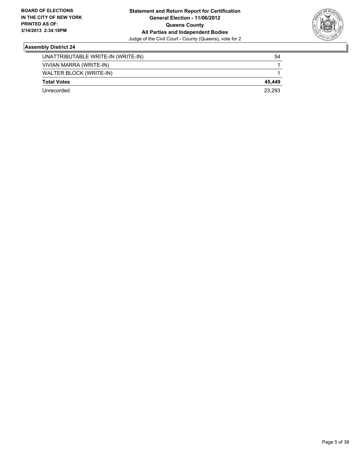

| WALTER BLOCK (WRITE-IN) |        |
|-------------------------|--------|
| <b>Total Votes</b>      | 45.449 |
|                         |        |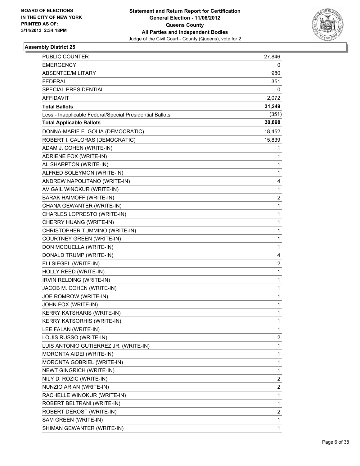

| PUBLIC COUNTER                                           | 27,846 |
|----------------------------------------------------------|--------|
| <b>EMERGENCY</b>                                         | 0      |
| ABSENTEE/MILITARY                                        | 980    |
| <b>FEDERAL</b>                                           | 351    |
| SPECIAL PRESIDENTIAL                                     | 0      |
| AFFIDAVIT                                                | 2,072  |
| <b>Total Ballots</b>                                     | 31,249 |
| Less - Inapplicable Federal/Special Presidential Ballots | (351)  |
| <b>Total Applicable Ballots</b>                          | 30,898 |
| DONNA-MARIE E. GOLIA (DEMOCRATIC)                        | 18,452 |
| ROBERT I. CALORAS (DEMOCRATIC)                           | 15,839 |
| ADAM J. COHEN (WRITE-IN)                                 | 1      |
| ADRIENE FOX (WRITE-IN)                                   | 1      |
| AL SHARPTON (WRITE-IN)                                   | 1      |
| ALFRED SOLEYMON (WRITE-IN)                               | 1      |
| ANDREW NAPOLITANO (WRITE-IN)                             | 4      |
| AVIGAIL WINOKUR (WRITE-IN)                               | 1      |
| <b>BARAK HAIMOFF (WRITE-IN)</b>                          | 2      |
| CHANA GEWANTER (WRITE-IN)                                | 1      |
| CHARLES LOPRESTO (WRITE-IN)                              | 1      |
| CHERRY HUANG (WRITE-IN)                                  | 1      |
| CHRISTOPHER TUMMINO (WRITE-IN)                           | 1      |
| <b>COURTNEY GREEN (WRITE-IN)</b>                         | 1      |
| DON MCQUELLA (WRITE-IN)                                  | 1      |
| DONALD TRUMP (WRITE-IN)                                  | 4      |
| ELI SIEGEL (WRITE-IN)                                    | 2      |
| HOLLY REED (WRITE-IN)                                    | 1      |
| IRVIN RELDING (WRITE-IN)                                 | 1      |
| JACOB M. COHEN (WRITE-IN)                                | 1      |
| JOE ROMROW (WRITE-IN)                                    | 1      |
| JOHN FOX (WRITE-IN)                                      | 1      |
| KERRY KATSHARIS (WRITE-IN)                               | 1      |
| <b>KERRY KATSORHIS (WRITE-IN)</b>                        | 1      |
| LEE FALAN (WRITE-IN)                                     | 1      |
| LOUIS RUSSO (WRITE-IN)                                   | 2      |
| LUIS ANTONIO GUTIERREZ JR. (WRITE-IN)                    | 1      |
| MORONTA AIDEI (WRITE-IN)                                 | 1      |
| MORONTA GOBRIEL (WRITE-IN)                               | 1      |
| NEWT GINGRICH (WRITE-IN)                                 | 1      |
| NILY D. ROZIC (WRITE-IN)                                 | 2      |
| NUNZIO ARIAN (WRITE-IN)                                  | 2      |
| RACHELLE WINOKUR (WRITE-IN)                              | 1      |
| ROBERT BELTRANI (WRITE-IN)                               | 1      |
| ROBERT DEROST (WRITE-IN)                                 | 2      |
| SAM GREEN (WRITE-IN)                                     | 1      |
| SHIMAN GEWANTER (WRITE-IN)                               | 1      |
|                                                          |        |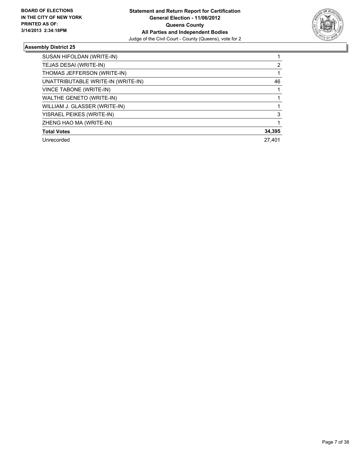

| SUSAN HIFOLDAN (WRITE-IN)          |        |
|------------------------------------|--------|
| TEJAS DESAI (WRITE-IN)             | 2      |
| THOMAS JEFFERSON (WRITE-IN)        |        |
| UNATTRIBUTABLE WRITE-IN (WRITE-IN) | 46     |
| VINCE TABONE (WRITE-IN)            |        |
| WALTHE GENETO (WRITE-IN)           |        |
| WILLIAM J. GLASSER (WRITE-IN)      |        |
| YISRAEL PEIKES (WRITE-IN)          | 3      |
| ZHENG HAO MA (WRITE-IN)            |        |
| <b>Total Votes</b>                 | 34,395 |
| Unrecorded                         | 27.401 |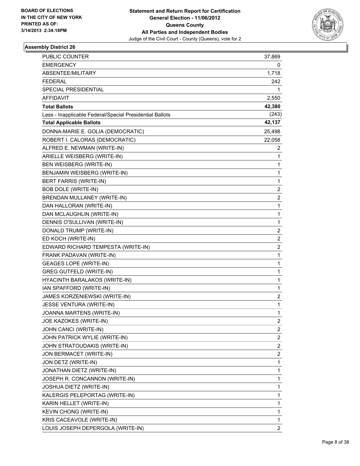

| PUBLIC COUNTER                                           | 37,869                  |
|----------------------------------------------------------|-------------------------|
| <b>EMERGENCY</b>                                         | 0                       |
| ABSENTEE/MILITARY                                        | 1,718                   |
| <b>FEDERAL</b>                                           | 242                     |
| <b>SPECIAL PRESIDENTIAL</b>                              | 1                       |
| <b>AFFIDAVIT</b>                                         | 2,550                   |
| <b>Total Ballots</b>                                     | 42,380                  |
| Less - Inapplicable Federal/Special Presidential Ballots | (243)                   |
| <b>Total Applicable Ballots</b>                          | 42,137                  |
| DONNA-MARIE E. GOLIA (DEMOCRATIC)                        | 25,498                  |
| ROBERT I. CALORAS (DEMOCRATIC)                           | 22,058                  |
| ALFRED E. NEWMAN (WRITE-IN)                              | 2                       |
| ARIELLE WEISBERG (WRITE-IN)                              | 1                       |
| BEN WEISBERG (WRITE-IN)                                  | 1                       |
| BENJAMIN WEISBERG (WRITE-IN)                             | 1                       |
| <b>BERT FARRIS (WRITE-IN)</b>                            | 1                       |
| <b>BOB DOLE (WRITE-IN)</b>                               | $\overline{2}$          |
| BRENDAN MULLANEY (WRITE-IN)                              | 2                       |
| DAN HALLORAN (WRITE-IN)                                  | $\mathbf{1}$            |
| DAN MCLAUGHLIN (WRITE-IN)                                | 1                       |
| DENNIS O'SULLIVAN (WRITE-IN)                             | 1                       |
| DONALD TRUMP (WRITE-IN)                                  | 2                       |
| ED KOCH (WRITE-IN)                                       | $\overline{2}$          |
| EDWARD RICHARD TEMPESTA (WRITE-IN)                       | 2                       |
| FRANK PADAVAN (WRITE-IN)                                 | $\mathbf{1}$            |
| <b>GEAGES LOPE (WRITE-IN)</b>                            | 1                       |
| <b>GREG GUTFELD (WRITE-IN)</b>                           | 1                       |
| HYACINTH BARALAKOS (WRITE-IN)                            | 1                       |
| IAN SPAFFORD (WRITE-IN)                                  | 1                       |
| JAMES KORZENIEWSKI (WRITE-IN)                            | 2                       |
| JESSE VENTURA (WRITE-IN)                                 | $\mathbf{1}$            |
| JOANNA MARTENS (WRITE-IN)                                | 1                       |
| JOE KAZOKES (WRITE-IN)                                   | 2                       |
| JOHN CANCI (WRITE-IN)                                    | $\overline{\mathbf{c}}$ |
| JOHN PATRICK WYLIE (WRITE-IN)                            | 2                       |
| JOHN STRATOUDAKIS (WRITE-IN)                             | 2                       |
| JON BERMACET (WRITE-IN)                                  | $\overline{\mathbf{c}}$ |
| JON DETZ (WRITE-IN)                                      | 1                       |
| JONATHAN DIETZ (WRITE-IN)                                | 1                       |
| JOSEPH R. CONCANNON (WRITE-IN)                           | $\mathbf{1}$            |
| JOSHUA DIETZ (WRITE-IN)                                  | 1                       |
| KALERGIS PELEPORTAG (WRITE-IN)                           | 1                       |
| KARIN HELLET (WRITE-IN)                                  | 1                       |
| KEVIN CHONG (WRITE-IN)                                   | 1                       |
| KRIS CACEAVOLE (WRITE-IN)                                | 1                       |
| LOUIS JOSEPH DEPERGOLA (WRITE-IN)                        | $\overline{2}$          |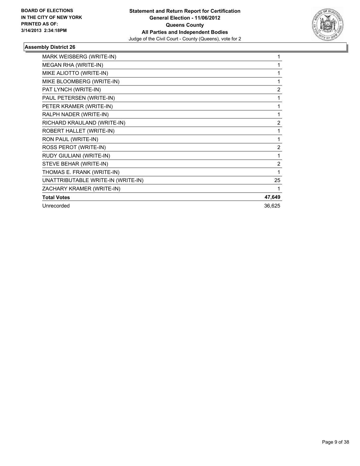

| MARK WEISBERG (WRITE-IN)           | 1              |
|------------------------------------|----------------|
| MEGAN RHA (WRITE-IN)               | 1              |
| MIKE ALIOTTO (WRITE-IN)            | 1              |
| MIKE BLOOMBERG (WRITE-IN)          | 1              |
| PAT LYNCH (WRITE-IN)               | $\overline{2}$ |
| PAUL PETERSEN (WRITE-IN)           | 1              |
| PETER KRAMER (WRITE-IN)            | 1              |
| RALPH NADER (WRITE-IN)             | 1              |
| RICHARD KRAULAND (WRITE-IN)        | $\overline{2}$ |
| ROBERT HALLET (WRITE-IN)           | 1              |
| RON PAUL (WRITE-IN)                | 1              |
| ROSS PEROT (WRITE-IN)              | 2              |
| RUDY GIULIANI (WRITE-IN)           | 1              |
| STEVE BEHAR (WRITE-IN)             | $\overline{2}$ |
| THOMAS E. FRANK (WRITE-IN)         | 1              |
| UNATTRIBUTABLE WRITE-IN (WRITE-IN) | 25             |
| ZACHARY KRAMER (WRITE-IN)          |                |
| <b>Total Votes</b>                 | 47,649         |
| Unrecorded                         | 36,625         |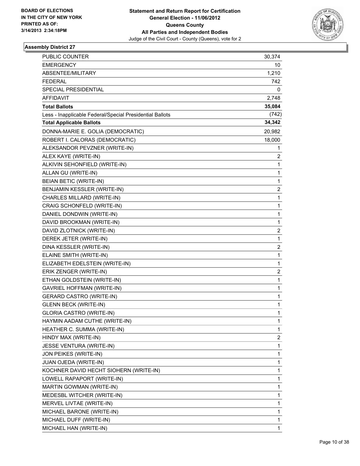

| <b>PUBLIC COUNTER</b>                                    | 30,374       |
|----------------------------------------------------------|--------------|
| <b>EMERGENCY</b>                                         | 10           |
| ABSENTEE/MILITARY                                        | 1,210        |
| <b>FEDERAL</b>                                           | 742          |
| SPECIAL PRESIDENTIAL                                     | 0            |
| <b>AFFIDAVIT</b>                                         | 2,748        |
| <b>Total Ballots</b>                                     | 35,084       |
| Less - Inapplicable Federal/Special Presidential Ballots | (742)        |
| <b>Total Applicable Ballots</b>                          | 34,342       |
| DONNA-MARIE E. GOLIA (DEMOCRATIC)                        | 20,982       |
| ROBERT I. CALORAS (DEMOCRATIC)                           | 18,000       |
| ALEKSANDOR PEVZNER (WRITE-IN)                            | 1            |
| ALEX KAYE (WRITE-IN)                                     | 2            |
| ALKIVIN SEHONFIELD (WRITE-IN)                            | 1            |
| ALLAN GU (WRITE-IN)                                      | $\mathbf{1}$ |
| <b>BEIAN BETIC (WRITE-IN)</b>                            | 1            |
| BENJAMIN KESSLER (WRITE-IN)                              | 2            |
| CHARLES MILLARD (WRITE-IN)                               | $\mathbf{1}$ |
| CRAIG SCHONFELD (WRITE-IN)                               | 1            |
| DANIEL DONDWIN (WRITE-IN)                                | 1            |
| DAVID BROOKMAN (WRITE-IN)                                | $\mathbf{1}$ |
| DAVID ZLOTNICK (WRITE-IN)                                | 2            |
| DEREK JETER (WRITE-IN)                                   | 1            |
| DINA KESSLER (WRITE-IN)                                  | 2            |
| ELAINE SMITH (WRITE-IN)                                  | 1            |
| ELIZABETH EDELSTEIN (WRITE-IN)                           | 1            |
| ERIK ZENGER (WRITE-IN)                                   | 2            |
| ETHAN GOLDSTEIN (WRITE-IN)                               | 1            |
| <b>GAVRIEL HOFFMAN (WRITE-IN)</b>                        | 1            |
| <b>GERARD CASTRO (WRITE-IN)</b>                          | $\mathbf{1}$ |
| <b>GLENN BECK (WRITE-IN)</b>                             | 1            |
| <b>GLORIA CASTRO (WRITE-IN)</b>                          | 1            |
| HAYMIN AADAM CUTHE (WRITE-IN)                            | 1            |
| HEATHER C. SUMMA (WRITE-IN)                              | 1            |
| HINDY MAX (WRITE-IN)                                     | 2            |
| JESSE VENTURA (WRITE-IN)                                 | 1            |
| JON PEIKES (WRITE-IN)                                    | 1            |
| JUAN OJEDA (WRITE-IN)                                    | 1            |
| KOCHNER DAVID HECHT SIOHERN (WRITE-IN)                   | 1            |
| LOWELL RAPAPORT (WRITE-IN)                               | 1            |
| MARTIN GOWMAN (WRITE-IN)                                 | 1            |
| MEDESBL WITCHER (WRITE-IN)                               | 1            |
| MERVEL LIVTAE (WRITE-IN)                                 | 1            |
| MICHAEL BARONE (WRITE-IN)                                | 1            |
| MICHAEL DUFF (WRITE-IN)                                  | 1            |
| MICHAEL HAN (WRITE-IN)                                   | $\mathbf{1}$ |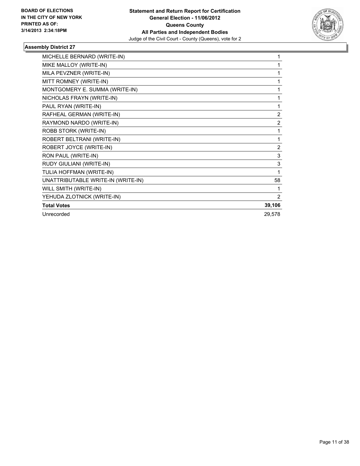

| MICHELLE BERNARD (WRITE-IN)        | 1              |
|------------------------------------|----------------|
| MIKE MALLOY (WRITE-IN)             | 1              |
| MILA PEVZNER (WRITE-IN)            | 1              |
| MITT ROMNEY (WRITE-IN)             | 1              |
| MONTGOMERY E. SUMMA (WRITE-IN)     | 1              |
| NICHOLAS FRAYN (WRITE-IN)          | 1              |
| PAUL RYAN (WRITE-IN)               | 1              |
| RAFHEAL GERMAN (WRITE-IN)          | 2              |
| RAYMOND NARDO (WRITE-IN)           | 2              |
| ROBB STORK (WRITE-IN)              | 1              |
| ROBERT BELTRANI (WRITE-IN)         | 1              |
| ROBERT JOYCE (WRITE-IN)            | $\overline{2}$ |
| RON PAUL (WRITE-IN)                | 3              |
| RUDY GIULIANI (WRITE-IN)           | 3              |
| TULIA HOFFMAN (WRITE-IN)           | 1              |
| UNATTRIBUTABLE WRITE-IN (WRITE-IN) | 58             |
| WILL SMITH (WRITE-IN)              | 1              |
| YEHUDA ZLOTNICK (WRITE-IN)         | 2              |
| <b>Total Votes</b>                 | 39,106         |
| Unrecorded                         | 29,578         |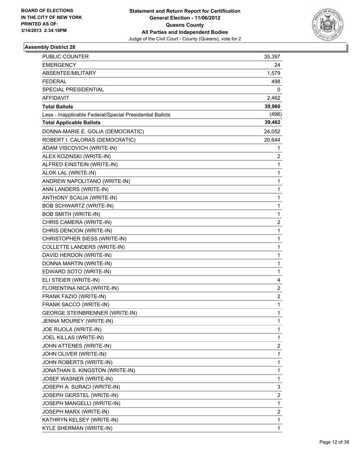

| PUBLIC COUNTER                                           | 35,397         |
|----------------------------------------------------------|----------------|
| <b>EMERGENCY</b>                                         | 24             |
| ABSENTEE/MILITARY                                        | 1,579          |
| <b>FEDERAL</b>                                           | 498            |
| SPECIAL PRESIDENTIAL                                     | 0              |
| <b>AFFIDAVIT</b>                                         | 2,462          |
| <b>Total Ballots</b>                                     | 39,960         |
| Less - Inapplicable Federal/Special Presidential Ballots | (498)          |
| <b>Total Applicable Ballots</b>                          | 39,462         |
| DONNA-MARIE E. GOLIA (DEMOCRATIC)                        | 24,052         |
| ROBERT I. CALORAS (DEMOCRATIC)                           | 20,644         |
| ADAM VISCOVICH (WRITE-IN)                                | 1              |
| ALEX KOZINSKI (WRITE-IN)                                 | 2              |
| ALFRED EINSTEIN (WRITE-IN)                               | 1              |
| ALOK LAL (WRITE-IN)                                      | 1              |
| ANDREW NAPOLITANO (WRITE-IN)                             | 1              |
| ANN LANDERS (WRITE-IN)                                   | 1              |
| ANTHONY SCALIA (WRITE-IN)                                | 1              |
| <b>BOB SCHWARTZ (WRITE-IN)</b>                           | 1              |
| <b>BOB SMITH (WRITE-IN)</b>                              | 1              |
| CHRIS CAMERA (WRITE-IN)                                  | $\overline{c}$ |
| CHRIS DENOON (WRITE-IN)                                  | 1              |
| CHRISTOPHER SIESS (WRITE-IN)                             | 1              |
| COLLETTE LANDERS (WRITE-IN)                              | 1              |
| DAVID HERDON (WRITE-IN)                                  | 1              |
| DONNA MARTIN (WRITE-IN)                                  | 1              |
| EDWARD SOTO (WRITE-IN)                                   | 1              |
| ELI STEIER (WRITE-IN)                                    | 4              |
| FLORENTINA NICA (WRITE-IN)                               | 2              |
| FRANK FAZIO (WRITE-IN)                                   | $\overline{2}$ |
| FRANK SACCO (WRITE-IN)                                   | 1              |
| <b>GEORGE STEINBRENNER (WRITE-IN)</b>                    | 1              |
| JENNA MOUREY (WRITE-IN)                                  | 1              |
| JOE RIJOLA (WRITE-IN)                                    | 1              |
| JOEL KILLAS (WRITE-IN)                                   | 1              |
| JOHN ATTENES (WRITE-IN)                                  | 2              |
| JOHN OLIVER (WRITE-IN)                                   | 1              |
| JOHN ROBERTS (WRITE-IN)                                  | 1              |
| JONATHAN S. KINGSTON (WRITE-IN)                          | 1              |
| JOSEF WASNER (WRITE-IN)                                  | 1              |
| JOSEPH A. SURACI (WRITE-IN)                              | 3              |
| JOSEPH GERSTEL (WRITE-IN)                                | 2              |
| JOSEPH MANGELLI (WRITE-IN)                               | 1              |
| JOSEPH MARX (WRITE-IN)                                   | 2              |
| KATHRYN KELSEY (WRITE-IN)                                | 1              |
| KYLE SHERMAN (WRITE-IN)                                  | 1              |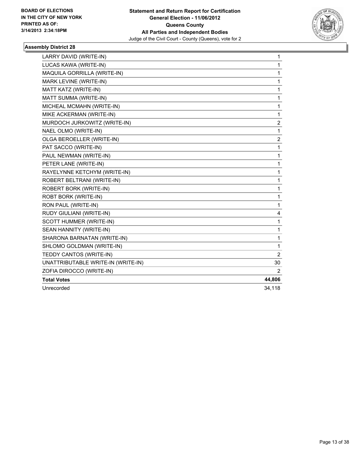

| LARRY DAVID (WRITE-IN)             | 1              |
|------------------------------------|----------------|
| LUCAS KAWA (WRITE-IN)              | 1              |
| MAQUILA GORRILLA (WRITE-IN)        | 1              |
| MARK LEVINE (WRITE-IN)             | 1              |
| MATT KATZ (WRITE-IN)               | 1              |
| MATT SUMMA (WRITE-IN)              | 1              |
| MICHEAL MCMAHN (WRITE-IN)          | 1              |
| MIKE ACKERMAN (WRITE-IN)           | 1              |
| MURDOCH JURKOWITZ (WRITE-IN)       | 2              |
| NAEL OLMO (WRITE-IN)               | 1              |
| OLGA BEROELLER (WRITE-IN)          | 2              |
| PAT SACCO (WRITE-IN)               | 1              |
| PAUL NEWMAN (WRITE-IN)             | 1              |
| PETER LANE (WRITE-IN)              | 1              |
| RAYELYNNE KETCHYM (WRITE-IN)       | 1              |
| ROBERT BELTRANI (WRITE-IN)         | 1              |
| ROBERT BORK (WRITE-IN)             | 1              |
| ROBT BORK (WRITE-IN)               | 1              |
| RON PAUL (WRITE-IN)                | 1              |
| RUDY GIULIANI (WRITE-IN)           | 4              |
| SCOTT HUMMER (WRITE-IN)            | 1              |
| SEAN HANNITY (WRITE-IN)            | 1              |
| SHARONA BARNATAN (WRITE-IN)        | 1              |
| SHLOMO GOLDMAN (WRITE-IN)          | 1              |
| TEDDY CANTOS (WRITE-IN)            | $\overline{2}$ |
| UNATTRIBUTABLE WRITE-IN (WRITE-IN) | 30             |
| ZOFIA DIROCCO (WRITE-IN)           | 2              |
| <b>Total Votes</b>                 | 44,806         |
| Unrecorded                         | 34,118         |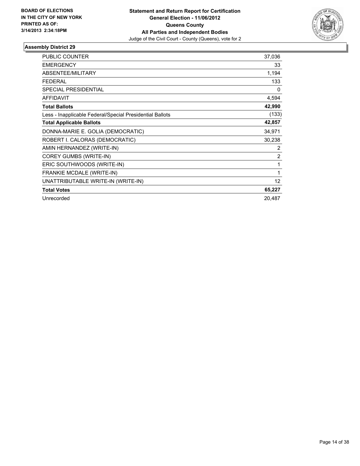

| <b>PUBLIC COUNTER</b>                                    | 37,036 |
|----------------------------------------------------------|--------|
| <b>EMERGENCY</b>                                         | 33     |
| ABSENTEE/MILITARY                                        | 1,194  |
| <b>FEDERAL</b>                                           | 133    |
| <b>SPECIAL PRESIDENTIAL</b>                              | 0      |
| <b>AFFIDAVIT</b>                                         | 4,594  |
| <b>Total Ballots</b>                                     | 42,990 |
| Less - Inapplicable Federal/Special Presidential Ballots | (133)  |
| <b>Total Applicable Ballots</b>                          | 42,857 |
| DONNA-MARIE E. GOLIA (DEMOCRATIC)                        | 34,971 |
| ROBERT I. CALORAS (DEMOCRATIC)                           | 30,238 |
| AMIN HERNANDEZ (WRITE-IN)                                | 2      |
| COREY GUMBS (WRITE-IN)                                   | 2      |
| ERIC SOUTHWOODS (WRITE-IN)                               | 1      |
| <b>FRANKIE MCDALE (WRITE-IN)</b>                         | 1      |
| UNATTRIBUTABLE WRITE-IN (WRITE-IN)                       | 12     |
| <b>Total Votes</b>                                       | 65,227 |
| Unrecorded                                               | 20,487 |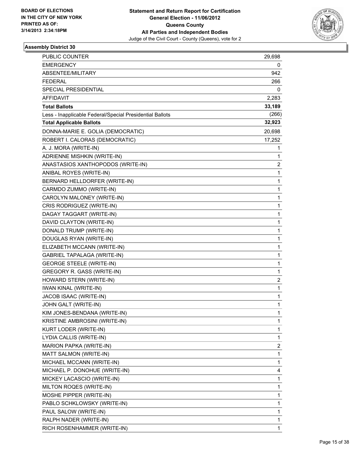

| <b>PUBLIC COUNTER</b>                                    | 29,698      |
|----------------------------------------------------------|-------------|
| <b>EMERGENCY</b>                                         | 0           |
| ABSENTEE/MILITARY                                        | 942         |
| <b>FEDERAL</b>                                           | 266         |
| SPECIAL PRESIDENTIAL                                     | 0           |
| AFFIDAVIT                                                | 2,283       |
| <b>Total Ballots</b>                                     | 33,189      |
| Less - Inapplicable Federal/Special Presidential Ballots | (266)       |
| <b>Total Applicable Ballots</b>                          | 32,923      |
| DONNA-MARIE E. GOLIA (DEMOCRATIC)                        | 20,698      |
| ROBERT I. CALORAS (DEMOCRATIC)                           | 17,252      |
| A. J. MORA (WRITE-IN)                                    | 1           |
| ADRIENNE MISHKIN (WRITE-IN)                              | 1           |
| ANASTASIOS XANTHOPODOS (WRITE-IN)                        | 2           |
| ANIBAL ROYES (WRITE-IN)                                  | 1           |
| BERNARD HELLDORFER (WRITE-IN)                            | 1           |
| CARMDO ZUMMO (WRITE-IN)                                  | 1           |
| CAROLYN MALONEY (WRITE-IN)                               | 1           |
| CRIS RODRIGUEZ (WRITE-IN)                                | 1           |
| DAGAY TAGGART (WRITE-IN)                                 | $\mathbf 1$ |
| DAVID CLAYTON (WRITE-IN)                                 | 1           |
| DONALD TRUMP (WRITE-IN)                                  | 1           |
| DOUGLAS RYAN (WRITE-IN)                                  | 1           |
| ELIZABETH MCCANN (WRITE-IN)                              | 1           |
| <b>GABRIEL TAPALAGA (WRITE-IN)</b>                       | 1           |
| <b>GEORGE STEELE (WRITE-IN)</b>                          | $\mathbf 1$ |
| GREGORY R. GASS (WRITE-IN)                               | 1           |
| HOWARD STERN (WRITE-IN)                                  | 2           |
| <b>IWAN KINAL (WRITE-IN)</b>                             | 1           |
| JACOB ISAAC (WRITE-IN)                                   | 1           |
| JOHN GALT (WRITE-IN)                                     | 1           |
| KIM JONES-BENDANA (WRITE-IN)                             | 1           |
| KRISTINE AMBROSINI (WRITE-IN)                            | 1           |
| KURT LODER (WRITE-IN)                                    | 1           |
| LYDIA CALLIS (WRITE-IN)                                  | 1           |
| MARION PAPKA (WRITE-IN)                                  | 2           |
| MATT SALMON (WRITE-IN)                                   | 1           |
| MICHAEL MCCANN (WRITE-IN)                                | 1           |
| MICHAEL P. DONOHUE (WRITE-IN)                            | 4           |
| MICKEY LACASCIO (WRITE-IN)                               | 1           |
| MILTON ROQES (WRITE-IN)                                  | 1           |
| MOSHE PIPPER (WRITE-IN)                                  | 1           |
| PABLO SCHKLOWSKY (WRITE-IN)                              | 1           |
| PAUL SALOW (WRITE-IN)                                    | 1           |
| RALPH NADER (WRITE-IN)                                   | 1           |
| RICH ROSENHAMMER (WRITE-IN)                              | 1           |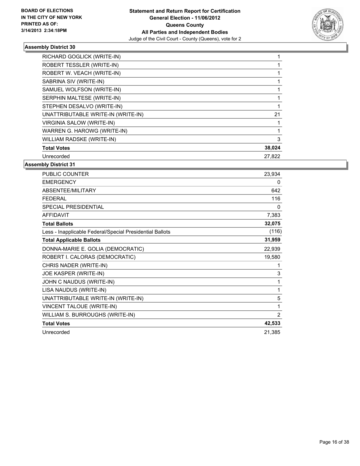

| RICHARD GOGLICK (WRITE-IN)         |        |
|------------------------------------|--------|
| ROBERT TESSLER (WRITE-IN)          |        |
| ROBERT W. VEACH (WRITE-IN)         |        |
| SABRINA SIV (WRITE-IN)             |        |
| SAMUEL WOLFSON (WRITE-IN)          |        |
| SERPHIN MALTESE (WRITE-IN)         |        |
| STEPHEN DESALVO (WRITE-IN)         |        |
| UNATTRIBUTABLE WRITE-IN (WRITE-IN) | 21     |
| VIRGINIA SALOW (WRITE-IN)          |        |
| WARREN G. HAROWG (WRITE-IN)        |        |
| WILLIAM RADSKE (WRITE-IN)          | 3      |
| <b>Total Votes</b>                 | 38,024 |
| Unrecorded                         | 27.822 |

| PUBLIC COUNTER                                           | 23,934 |
|----------------------------------------------------------|--------|
| <b>EMERGENCY</b>                                         | 0      |
| <b>ABSENTEE/MILITARY</b>                                 | 642    |
| <b>FEDERAL</b>                                           | 116    |
| <b>SPECIAL PRESIDENTIAL</b>                              | 0      |
| <b>AFFIDAVIT</b>                                         | 7,383  |
| <b>Total Ballots</b>                                     | 32,075 |
| Less - Inapplicable Federal/Special Presidential Ballots | (116)  |
| <b>Total Applicable Ballots</b>                          | 31,959 |
| DONNA-MARIE E. GOLIA (DEMOCRATIC)                        | 22,939 |
| ROBERT I. CALORAS (DEMOCRATIC)                           | 19,580 |
| CHRIS NADER (WRITE-IN)                                   | 1      |
| JOE KASPER (WRITE-IN)                                    | 3      |
| JOHN C NAUDUS (WRITE-IN)                                 | 1      |
| LISA NAUDUS (WRITE-IN)                                   | 1      |
| UNATTRIBUTABLE WRITE-IN (WRITE-IN)                       | 5      |
| VINCENT TALOUE (WRITE-IN)                                | 1      |
| WILLIAM S. BURROUGHS (WRITE-IN)                          | 2      |
| <b>Total Votes</b>                                       | 42,533 |
| Unrecorded                                               | 21,385 |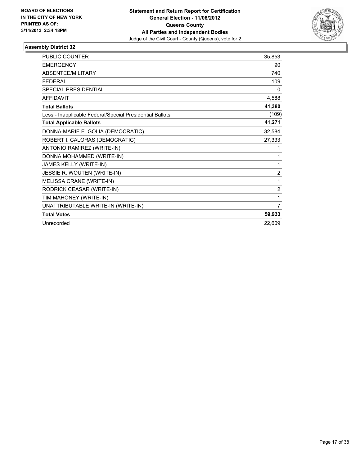

| <b>PUBLIC COUNTER</b>                                    | 35,853         |
|----------------------------------------------------------|----------------|
| <b>EMERGENCY</b>                                         | 90             |
| ABSENTEE/MILITARY                                        | 740            |
| <b>FEDERAL</b>                                           | 109            |
| <b>SPECIAL PRESIDENTIAL</b>                              | 0              |
| <b>AFFIDAVIT</b>                                         | 4,588          |
| <b>Total Ballots</b>                                     | 41,380         |
| Less - Inapplicable Federal/Special Presidential Ballots | (109)          |
| <b>Total Applicable Ballots</b>                          | 41,271         |
| DONNA-MARIE E. GOLIA (DEMOCRATIC)                        | 32,584         |
| ROBERT I. CALORAS (DEMOCRATIC)                           | 27,333         |
| ANTONIO RAMIREZ (WRITE-IN)                               | 1              |
| DONNA MOHAMMED (WRITE-IN)                                | 1              |
| JAMES KELLY (WRITE-IN)                                   | 1              |
| JESSIE R. WOUTEN (WRITE-IN)                              | $\overline{2}$ |
| MELISSA CRANE (WRITE-IN)                                 | 1              |
| RODRICK CEASAR (WRITE-IN)                                | 2              |
| TIM MAHONEY (WRITE-IN)                                   | 1              |
| UNATTRIBUTABLE WRITE-IN (WRITE-IN)                       | $\overline{7}$ |
| <b>Total Votes</b>                                       | 59,933         |
| Unrecorded                                               | 22,609         |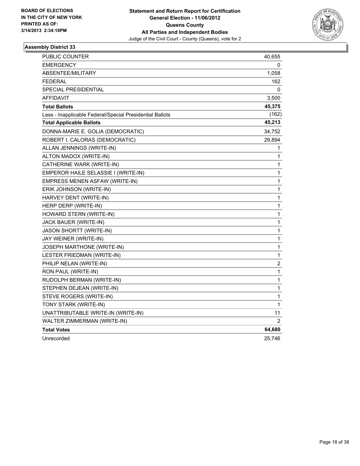

| PUBLIC COUNTER                                           | 40,655         |
|----------------------------------------------------------|----------------|
| EMERGENCY                                                | 0              |
| <b>ABSENTEE/MILITARY</b>                                 | 1,058          |
| <b>FEDERAL</b>                                           | 162            |
| SPECIAL PRESIDENTIAL                                     | 0              |
| AFFIDAVIT                                                | 3,500          |
| <b>Total Ballots</b>                                     | 45,375         |
| Less - Inapplicable Federal/Special Presidential Ballots | (162)          |
| <b>Total Applicable Ballots</b>                          | 45,213         |
| DONNA-MARIE E. GOLIA (DEMOCRATIC)                        | 34,752         |
| ROBERT I. CALORAS (DEMOCRATIC)                           | 29,894         |
| ALLAN JENNINGS (WRITE-IN)                                | 1              |
| ALTON MADOX (WRITE-IN)                                   | 1              |
| CATHERINE WARK (WRITE-IN)                                | 1              |
| EMPEROR HAILE SELASSIE I (WRITE-IN)                      | $\mathbf{1}$   |
| EMPRESS MENEN ASFAW (WRITE-IN)                           | 1              |
| ERIK JOHNSON (WRITE-IN)                                  | 1              |
| HARVEY DENT (WRITE-IN)                                   | 1              |
| HERP DERP (WRITE-IN)                                     | 1              |
| HOWARD STERN (WRITE-IN)                                  | 1              |
| JACK BAUER (WRITE-IN)                                    | 1              |
| <b>JASON SHORTT (WRITE-IN)</b>                           | 1              |
| JAY WEINER (WRITE-IN)                                    | $\mathbf{1}$   |
| JOSEPH MARTHONE (WRITE-IN)                               | 1              |
| LESTER FRIEDMAN (WRITE-IN)                               | 1              |
| PHILIP NELAN (WRITE-IN)                                  | $\overline{c}$ |
| RON PAUL (WRITE-IN)                                      | 1              |
| RUDOLPH BERMAN (WRITE-IN)                                | 1              |
| STEPHEN DEJEAN (WRITE-IN)                                | 1              |
| STEVE ROGERS (WRITE-IN)                                  | 1              |
| TONY STARK (WRITE-IN)                                    | 1              |
| UNATTRIBUTABLE WRITE-IN (WRITE-IN)                       | 11             |
| WALTER ZIMMERMAN (WRITE-IN)                              | $\overline{2}$ |
| <b>Total Votes</b>                                       | 64,680         |
| Unrecorded                                               | 25,746         |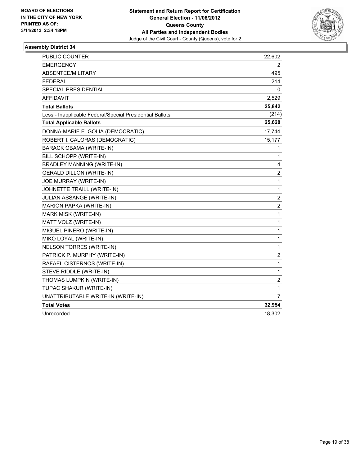

| <b>PUBLIC COUNTER</b>                                    | 22,602         |
|----------------------------------------------------------|----------------|
| <b>EMERGENCY</b>                                         | 2              |
| ABSENTEE/MILITARY                                        | 495            |
| <b>FEDERAL</b>                                           | 214            |
| <b>SPECIAL PRESIDENTIAL</b>                              | 0              |
| <b>AFFIDAVIT</b>                                         | 2,529          |
| <b>Total Ballots</b>                                     | 25,842         |
| Less - Inapplicable Federal/Special Presidential Ballots | (214)          |
| <b>Total Applicable Ballots</b>                          | 25,628         |
| DONNA-MARIE E. GOLIA (DEMOCRATIC)                        | 17,744         |
| ROBERT I. CALORAS (DEMOCRATIC)                           | 15,177         |
| BARACK OBAMA (WRITE-IN)                                  | 1              |
| BILL SCHOPP (WRITE-IN)                                   | 1              |
| <b>BRADLEY MANNING (WRITE-IN)</b>                        | 4              |
| <b>GERALD DILLON (WRITE-IN)</b>                          | $\overline{c}$ |
| JOE MURRAY (WRITE-IN)                                    | 1              |
| JOHNETTE TRAILL (WRITE-IN)                               | 1              |
| JULIAN ASSANGE (WRITE-IN)                                | $\overline{c}$ |
| MARION PAPKA (WRITE-IN)                                  | $\overline{2}$ |
| <b>MARK MISK (WRITE-IN)</b>                              | 1              |
| MATT VOLZ (WRITE-IN)                                     | 1              |
| MIGUEL PINERO (WRITE-IN)                                 | 1              |
| MIKO LOYAL (WRITE-IN)                                    | 1              |
| NELSON TORRES (WRITE-IN)                                 | 1              |
| PATRICK P. MURPHY (WRITE-IN)                             | $\overline{c}$ |
| RAFAEL CISTERNOS (WRITE-IN)                              | $\mathbf{1}$   |
| STEVE RIDDLE (WRITE-IN)                                  | 1              |
| THOMAS LUMPKIN (WRITE-IN)                                | $\overline{c}$ |
| TUPAC SHAKUR (WRITE-IN)                                  | 1              |
| UNATTRIBUTABLE WRITE-IN (WRITE-IN)                       | $\overline{7}$ |
| <b>Total Votes</b>                                       | 32,954         |
| Unrecorded                                               | 18,302         |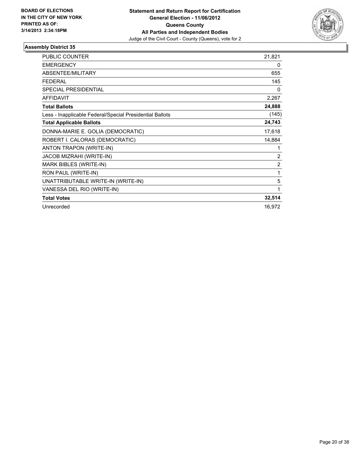

| PUBLIC COUNTER                                           | 21,821         |
|----------------------------------------------------------|----------------|
| <b>EMERGENCY</b>                                         | 0              |
| ABSENTEE/MILITARY                                        | 655            |
| <b>FEDERAL</b>                                           | 145            |
| <b>SPECIAL PRESIDENTIAL</b>                              | 0              |
| <b>AFFIDAVIT</b>                                         | 2,267          |
| <b>Total Ballots</b>                                     | 24,888         |
| Less - Inapplicable Federal/Special Presidential Ballots | (145)          |
| <b>Total Applicable Ballots</b>                          | 24,743         |
| DONNA-MARIE E. GOLIA (DEMOCRATIC)                        | 17,618         |
| ROBERT I. CALORAS (DEMOCRATIC)                           | 14,884         |
| ANTON TRAPON (WRITE-IN)                                  | 1              |
| JACOB MIZRAHI (WRITE-IN)                                 | 2              |
| MARK BIBLES (WRITE-IN)                                   | $\overline{2}$ |
| RON PAUL (WRITE-IN)                                      | 1              |
| UNATTRIBUTABLE WRITE-IN (WRITE-IN)                       | 5              |
| VANESSA DEL RIO (WRITE-IN)                               | 1              |
| <b>Total Votes</b>                                       | 32,514         |
| Unrecorded                                               | 16,972         |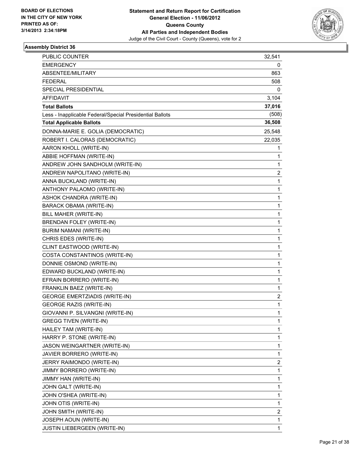

| PUBLIC COUNTER                                           | 32,541 |
|----------------------------------------------------------|--------|
| <b>EMERGENCY</b>                                         | 0      |
| ABSENTEE/MILITARY                                        | 863    |
| <b>FEDERAL</b>                                           | 508    |
| SPECIAL PRESIDENTIAL                                     | 0      |
| AFFIDAVIT                                                | 3,104  |
| <b>Total Ballots</b>                                     | 37,016 |
| Less - Inapplicable Federal/Special Presidential Ballots | (508)  |
| <b>Total Applicable Ballots</b>                          | 36,508 |
| DONNA-MARIE E. GOLIA (DEMOCRATIC)                        | 25,548 |
| ROBERT I. CALORAS (DEMOCRATIC)                           | 22,035 |
| AARON KHOLL (WRITE-IN)                                   | 1      |
| ABBIE HOFFMAN (WRITE-IN)                                 | 1      |
| ANDREW JOHN SANDHOLM (WRITE-IN)                          | 1      |
| ANDREW NAPOLITANO (WRITE-IN)                             | 2      |
| ANNA BUCKLAND (WRITE-IN)                                 | 1      |
| ANTHONY PALAOMO (WRITE-IN)                               | 1      |
| ASHOK CHANDRA (WRITE-IN)                                 | 1      |
| <b>BARACK OBAMA (WRITE-IN)</b>                           | 1      |
| BILL MAHER (WRITE-IN)                                    | 1      |
| BRENDAN FOLEY (WRITE-IN)                                 | 1      |
| BURIM NAMANI (WRITE-IN)                                  | 1      |
| CHRIS EDES (WRITE-IN)                                    | 1      |
| CLINT EASTWOOD (WRITE-IN)                                | 1      |
| COSTA CONSTANTINOS (WRITE-IN)                            | 1      |
| DONNIE OSMOND (WRITE-IN)                                 | 1      |
| EDWARD BUCKLAND (WRITE-IN)                               | 1      |
| EFRAIN BORRERO (WRITE-IN)                                | 1      |
| FRANKLIN BAEZ (WRITE-IN)                                 | 1      |
| <b>GEORGE EMERTZIADIS (WRITE-IN)</b>                     | 2      |
| <b>GEORGE RAZIS (WRITE-IN)</b>                           | 1      |
| GIOVANNI P. SILVANGNI (WRITE-IN)                         | 1      |
| <b>GREGG TIVEN (WRITE-IN)</b>                            | 1      |
| HAILEY TAM (WRITE-IN)                                    | 1      |
| HARRY P. STONE (WRITE-IN)                                | 1      |
| JASON WEINGARTNER (WRITE-IN)                             | 1      |
| JAVIER BORRERO (WRITE-IN)                                | 1      |
| JERRY RAIMONDO (WRITE-IN)                                | 2      |
| JIMMY BORRERO (WRITE-IN)                                 | 1      |
| JIMMY HAN (WRITE-IN)                                     | 1      |
| JOHN GALT (WRITE-IN)                                     | 1      |
| JOHN O'SHEA (WRITE-IN)                                   | 1      |
| JOHN OTIS (WRITE-IN)                                     | 1      |
| JOHN SMITH (WRITE-IN)                                    | 2      |
| JOSEPH AOUN (WRITE-IN)                                   | 1      |
| JUSTIN LIEBERGEEN (WRITE-IN)                             | 1      |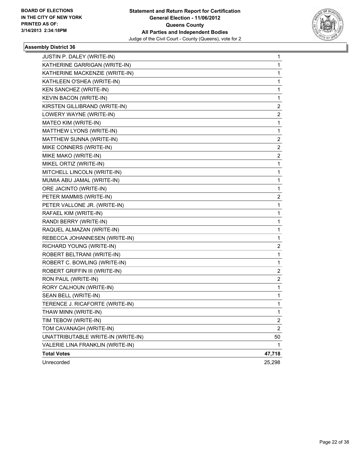

| JUSTIN P. DALEY (WRITE-IN)         | 1              |
|------------------------------------|----------------|
| KATHERINE GARRIGAN (WRITE-IN)      | 1              |
| KATHERINE MACKENZIE (WRITE-IN)     | 1              |
| KATHLEEN O'SHEA (WRITE-IN)         | 1              |
| KEN SANCHEZ (WRITE-IN)             | 1              |
| KEVIN BACON (WRITE-IN)             | 1              |
| KIRSTEN GILLIBRAND (WRITE-IN)      | 2              |
| LOWERY WAYNE (WRITE-IN)            | 2              |
| MATEO KIM (WRITE-IN)               | 1              |
| MATTHEW LYONS (WRITE-IN)           | 1              |
| MATTHEW SUNNA (WRITE-IN)           | 2              |
| MIKE CONNERS (WRITE-IN)            | 2              |
| MIKE MAKO (WRITE-IN)               | 2              |
| MIKEL ORTIZ (WRITE-IN)             | 1              |
| MITCHELL LINCOLN (WRITE-IN)        | 1              |
| MUMIA ABU JAMAL (WRITE-IN)         | 1              |
| ORE JACINTO (WRITE-IN)             | 1              |
| PETER MAMMIS (WRITE-IN)            | 2              |
| PETER VALLONE JR. (WRITE-IN)       | 1              |
| RAFAEL KIM (WRITE-IN)              | 1              |
| RANDI BERRY (WRITE-IN)             | 1              |
| RAQUEL ALMAZAN (WRITE-IN)          | 1              |
| REBECCA JOHANNESEN (WRITE-IN)      | 1              |
| RICHARD YOUNG (WRITE-IN)           | 2              |
| ROBERT BELTRANI (WRITE-IN)         | 1              |
| ROBERT C. BOWLING (WRITE-IN)       | 1              |
| ROBERT GRIFFIN III (WRITE-IN)      | 2              |
| RON PAUL (WRITE-IN)                | 2              |
| RORY CALHOUN (WRITE-IN)            | 1              |
| SEAN BELL (WRITE-IN)               | 1              |
| TERENCE J. RICAFORTE (WRITE-IN)    | 1              |
| THAW MINN (WRITE-IN)               | 1              |
| TIM TEBOW (WRITE-IN)               | 2              |
| TOM CAVANAGH (WRITE-IN)            | $\overline{c}$ |
| UNATTRIBUTABLE WRITE-IN (WRITE-IN) | 50             |
| VALERIE LINA FRANKLIN (WRITE-IN)   | 1              |
| <b>Total Votes</b>                 | 47,718         |
| Unrecorded                         | 25,298         |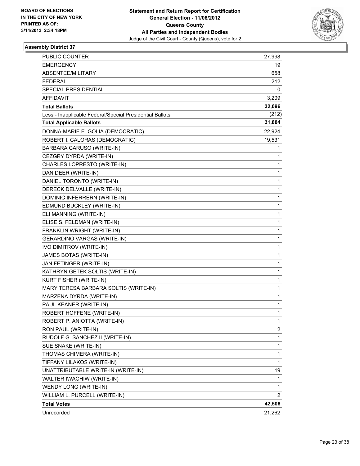

| PUBLIC COUNTER                                           | 27,998                  |
|----------------------------------------------------------|-------------------------|
| <b>EMERGENCY</b>                                         | 19                      |
| ABSENTEE/MILITARY                                        | 658                     |
| <b>FEDERAL</b>                                           | 212                     |
| <b>SPECIAL PRESIDENTIAL</b>                              | 0                       |
| <b>AFFIDAVIT</b>                                         | 3,209                   |
| <b>Total Ballots</b>                                     | 32,096                  |
| Less - Inapplicable Federal/Special Presidential Ballots | (212)                   |
| <b>Total Applicable Ballots</b>                          | 31,884                  |
| DONNA-MARIE E. GOLIA (DEMOCRATIC)                        | 22,924                  |
| ROBERT I. CALORAS (DEMOCRATIC)                           | 19,531                  |
| BARBARA CARUSO (WRITE-IN)                                | 1                       |
| CEZGRY DYRDA (WRITE-IN)                                  | 1                       |
| CHARLES LOPRESTO (WRITE-IN)                              | 1                       |
| DAN DEER (WRITE-IN)                                      | 1                       |
| DANIEL TORONTO (WRITE-IN)                                | 1                       |
| DERECK DELVALLE (WRITE-IN)                               | 1                       |
| DOMINIC INFERRERN (WRITE-IN)                             | 1                       |
| EDMUND BUCKLEY (WRITE-IN)                                | 1                       |
| ELI MANNING (WRITE-IN)                                   | 1                       |
| ELISE S. FELDMAN (WRITE-IN)                              | 1                       |
| FRANKLIN WRIGHT (WRITE-IN)                               | 1                       |
| GERARDINO VARGAS (WRITE-IN)                              | 1                       |
| IVO DIMITROV (WRITE-IN)                                  | 1                       |
| JAMES BOTAS (WRITE-IN)                                   | 1                       |
| JAN FETINGER (WRITE-IN)                                  | 1                       |
| KATHRYN GETEK SOLTIS (WRITE-IN)                          | 1                       |
| KURT FISHER (WRITE-IN)                                   | 1                       |
| MARY TERESA BARBARA SOLTIS (WRITE-IN)                    | 1                       |
| MARZENA DYRDA (WRITE-IN)                                 | 1                       |
| PAUL KEANER (WRITE-IN)                                   | 1                       |
| ROBERT HOFFENE (WRITE-IN)                                | 1                       |
| ROBERT P. ANIOTTA (WRITE-IN)                             | 1                       |
| RON PAUL (WRITE-IN)                                      | $\overline{\mathbf{c}}$ |
| RUDOLF G. SANCHEZ II (WRITE-IN)                          | 1                       |
| SUE SNAKE (WRITE-IN)                                     | 1                       |
| THOMAS CHIMERA (WRITE-IN)                                | 1                       |
| TIFFANY LILAKOS (WRITE-IN)                               | 1                       |
| UNATTRIBUTABLE WRITE-IN (WRITE-IN)                       | 19                      |
| WALTER IWACHIW (WRITE-IN)                                | 1                       |
| WENDY LONG (WRITE-IN)                                    | 1                       |
| WILLIAM L. PURCELL (WRITE-IN)                            | 2                       |
| <b>Total Votes</b>                                       | 42,506                  |
| Unrecorded                                               | 21,262                  |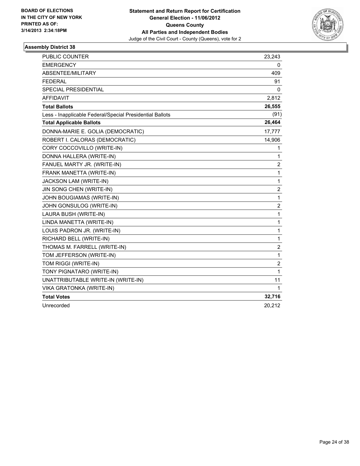

| <b>PUBLIC COUNTER</b>                                    | 23,243                  |
|----------------------------------------------------------|-------------------------|
| <b>EMERGENCY</b>                                         | 0                       |
| ABSENTEE/MILITARY                                        | 409                     |
| <b>FEDERAL</b>                                           | 91                      |
| SPECIAL PRESIDENTIAL                                     | 0                       |
| <b>AFFIDAVIT</b>                                         | 2,812                   |
| <b>Total Ballots</b>                                     | 26,555                  |
| Less - Inapplicable Federal/Special Presidential Ballots | (91)                    |
| <b>Total Applicable Ballots</b>                          | 26,464                  |
| DONNA-MARIE E. GOLIA (DEMOCRATIC)                        | 17,777                  |
| ROBERT I. CALORAS (DEMOCRATIC)                           | 14,906                  |
| CORY COCCOVILLO (WRITE-IN)                               | 1                       |
| DONNA HALLERA (WRITE-IN)                                 | 1                       |
| FANUEL MARTY JR. (WRITE-IN)                              | $\overline{c}$          |
| FRANK MANETTA (WRITE-IN)                                 | 1                       |
| JACKSON LAM (WRITE-IN)                                   | 1                       |
| JIN SONG CHEN (WRITE-IN)                                 | $\overline{2}$          |
| JOHN BOUGIAMAS (WRITE-IN)                                | 1                       |
| JOHN GONSULOG (WRITE-IN)                                 | $\overline{\mathbf{c}}$ |
| LAURA BUSH (WRITE-IN)                                    | 1                       |
| LINDA MANETTA (WRITE-IN)                                 | 1                       |
| LOUIS PADRON JR. (WRITE-IN)                              | 1                       |
| RICHARD BELL (WRITE-IN)                                  | 1                       |
| THOMAS M. FARRELL (WRITE-IN)                             | $\overline{\mathbf{c}}$ |
| TOM JEFFERSON (WRITE-IN)                                 | 1                       |
| TOM RIGGI (WRITE-IN)                                     | $\overline{2}$          |
| TONY PIGNATARO (WRITE-IN)                                | 1                       |
| UNATTRIBUTABLE WRITE-IN (WRITE-IN)                       | 11                      |
| VIKA GRATONKA (WRITE-IN)                                 | 1                       |
| <b>Total Votes</b>                                       | 32,716                  |
| Unrecorded                                               | 20,212                  |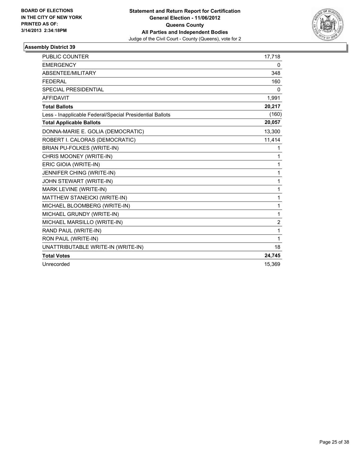

| <b>PUBLIC COUNTER</b>                                    | 17,718         |
|----------------------------------------------------------|----------------|
| <b>EMERGENCY</b>                                         | 0              |
| ABSENTEE/MILITARY                                        | 348            |
| <b>FEDERAL</b>                                           | 160            |
| <b>SPECIAL PRESIDENTIAL</b>                              | 0              |
| <b>AFFIDAVIT</b>                                         | 1,991          |
| <b>Total Ballots</b>                                     | 20,217         |
| Less - Inapplicable Federal/Special Presidential Ballots | (160)          |
| <b>Total Applicable Ballots</b>                          | 20,057         |
| DONNA-MARIE E. GOLIA (DEMOCRATIC)                        | 13,300         |
| ROBERT I. CALORAS (DEMOCRATIC)                           | 11,414         |
| <b>BRIAN PU-FOLKES (WRITE-IN)</b>                        | 1              |
| CHRIS MOONEY (WRITE-IN)                                  | 1              |
| ERIC GIOIA (WRITE-IN)                                    | 1              |
| JENNIFER CHING (WRITE-IN)                                | 1              |
| JOHN STEWART (WRITE-IN)                                  | 1              |
| MARK LEVINE (WRITE-IN)                                   | 1              |
| MATTHEW STANEICKI (WRITE-IN)                             | 1              |
| MICHAEL BLOOMBERG (WRITE-IN)                             | 1              |
| MICHAEL GRUNDY (WRITE-IN)                                | 1              |
| MICHAEL MARSILLO (WRITE-IN)                              | $\overline{2}$ |
| RAND PAUL (WRITE-IN)                                     | 1              |
| RON PAUL (WRITE-IN)                                      | 1              |
| UNATTRIBUTABLE WRITE-IN (WRITE-IN)                       | 18             |
| <b>Total Votes</b>                                       | 24,745         |
| Unrecorded                                               | 15,369         |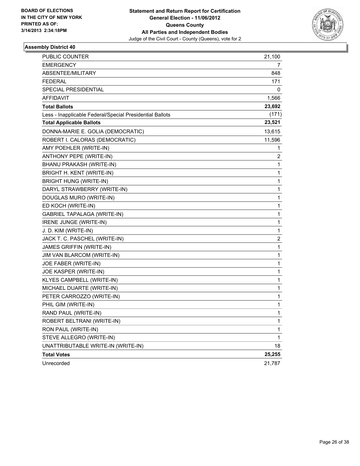

| PUBLIC COUNTER                                           | 21,100         |
|----------------------------------------------------------|----------------|
| EMERGENCY                                                | $\overline{7}$ |
| <b>ABSENTEE/MILITARY</b>                                 | 848            |
| FEDERAL                                                  | 171            |
| SPECIAL PRESIDENTIAL                                     | 0              |
| <b>AFFIDAVIT</b>                                         | 1,566          |
| <b>Total Ballots</b>                                     | 23,692         |
| Less - Inapplicable Federal/Special Presidential Ballots | (171)          |
| <b>Total Applicable Ballots</b>                          | 23,521         |
| DONNA-MARIE E. GOLIA (DEMOCRATIC)                        | 13,615         |
| ROBERT I. CALORAS (DEMOCRATIC)                           | 11,596         |
| AMY POEHLER (WRITE-IN)                                   | 1              |
| ANTHONY PEPE (WRITE-IN)                                  | 2              |
| BHANU PRAKASH (WRITE-IN)                                 | 1              |
| BRIGHT H. KENT (WRITE-IN)                                | 1              |
| <b>BRIGHT HUNG (WRITE-IN)</b>                            | 1              |
| DARYL STRAWBERRY (WRITE-IN)                              | 1              |
| DOUGLAS MURO (WRITE-IN)                                  | 1              |
| ED KOCH (WRITE-IN)                                       | 1              |
| GABRIEL TAPALAGA (WRITE-IN)                              | 1              |
| IRENE JUNGE (WRITE-IN)                                   | 1              |
| J. D. KIM (WRITE-IN)                                     | 1              |
| JACK T. C. PASCHEL (WRITE-IN)                            | 2              |
| JAMES GRIFFIN (WRITE-IN)                                 | 1              |
| JIM VAN BLARCOM (WRITE-IN)                               | $\mathbf 1$    |
| JOE FABER (WRITE-IN)                                     | 1              |
| JOE KASPER (WRITE-IN)                                    | 1              |
| KLYES CAMPBELL (WRITE-IN)                                | 1              |
| MICHAEL DUARTE (WRITE-IN)                                | 1              |
| PETER CARROZZO (WRITE-IN)                                | 1              |
| PHIL GIM (WRITE-IN)                                      | $\mathbf{1}$   |
| RAND PAUL (WRITE-IN)                                     | 1              |
| ROBERT BELTRANI (WRITE-IN)                               | 1              |
| RON PAUL (WRITE-IN)                                      | $\mathbf 1$    |
| STEVE ALLEGRO (WRITE-IN)                                 | 1              |
| UNATTRIBUTABLE WRITE-IN (WRITE-IN)                       | 18             |
| <b>Total Votes</b>                                       | 25,255         |
| Unrecorded                                               | 21,787         |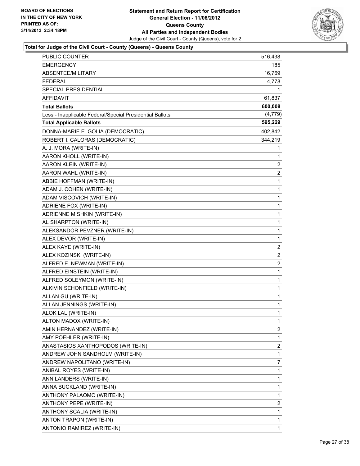

| <b>PUBLIC COUNTER</b>                                    | 516,438      |
|----------------------------------------------------------|--------------|
| EMERGENCY                                                | 185          |
| ABSENTEE/MILITARY                                        | 16,769       |
| <b>FEDERAL</b>                                           | 4,778        |
| SPECIAL PRESIDENTIAL                                     | 1            |
| AFFIDAVIT                                                | 61,837       |
| <b>Total Ballots</b>                                     | 600,008      |
| Less - Inapplicable Federal/Special Presidential Ballots | (4, 779)     |
| <b>Total Applicable Ballots</b>                          | 595,229      |
| DONNA-MARIE E. GOLIA (DEMOCRATIC)                        | 402,842      |
| ROBERT I. CALORAS (DEMOCRATIC)                           | 344,219      |
| A. J. MORA (WRITE-IN)                                    | 1            |
| AARON KHOLL (WRITE-IN)                                   | 1            |
| AARON KLEIN (WRITE-IN)                                   | 2            |
| AARON WAHL (WRITE-IN)                                    | 2            |
| ABBIE HOFFMAN (WRITE-IN)                                 | 1            |
| ADAM J. COHEN (WRITE-IN)                                 | 1            |
| ADAM VISCOVICH (WRITE-IN)                                | 1            |
| ADRIENE FOX (WRITE-IN)                                   | 1            |
| ADRIENNE MISHKIN (WRITE-IN)                              | 1            |
| AL SHARPTON (WRITE-IN)                                   | 1            |
| ALEKSANDOR PEVZNER (WRITE-IN)                            | 1            |
| ALEX DEVOR (WRITE-IN)                                    | 1            |
| ALEX KAYE (WRITE-IN)                                     | 2            |
| ALEX KOZINSKI (WRITE-IN)                                 | 2            |
| ALFRED E. NEWMAN (WRITE-IN)                              | 2            |
| ALFRED EINSTEIN (WRITE-IN)                               | 1            |
| ALFRED SOLEYMON (WRITE-IN)                               | 1            |
| ALKIVIN SEHONFIELD (WRITE-IN)                            | 1            |
| ALLAN GU (WRITE-IN)                                      | 1            |
| ALLAN JENNINGS (WRITE-IN)                                | 1            |
| ALOK LAL (WRITE-IN)                                      | $\mathbf{1}$ |
| ALTON MADOX (WRITE-IN)                                   | 1            |
| AMIN HERNANDEZ (WRITE-IN)                                | 2            |
| AMY POEHLER (WRITE-IN)                                   | 1            |
| ANASTASIOS XANTHOPODOS (WRITE-IN)                        | 2            |
| ANDREW JOHN SANDHOLM (WRITE-IN)                          | 1            |
| ANDREW NAPOLITANO (WRITE-IN)                             | 7            |
| ANIBAL ROYES (WRITE-IN)                                  | 1            |
| ANN LANDERS (WRITE-IN)                                   | 1            |
| ANNA BUCKLAND (WRITE-IN)                                 | 1            |
| ANTHONY PALAOMO (WRITE-IN)                               | 1            |
| ANTHONY PEPE (WRITE-IN)                                  | 2            |
| ANTHONY SCALIA (WRITE-IN)                                | 1            |
| ANTON TRAPON (WRITE-IN)                                  | 1            |
| ANTONIO RAMIREZ (WRITE-IN)                               | 1            |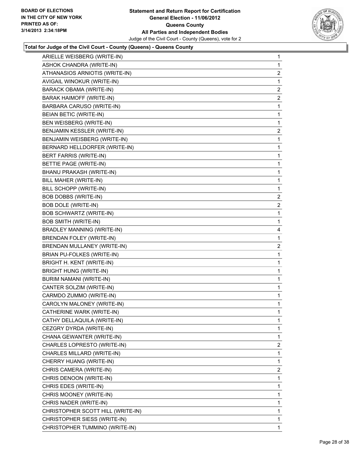

| ARIELLE WEISBERG (WRITE-IN)       | $\mathbf{1}$   |
|-----------------------------------|----------------|
| ASHOK CHANDRA (WRITE-IN)          | 1              |
| ATHANASIOS ARNIOTIS (WRITE-IN)    | 2              |
| AVIGAIL WINOKUR (WRITE-IN)        | 1              |
| BARACK OBAMA (WRITE-IN)           | 2              |
| BARAK HAIMOFF (WRITE-IN)          | 2              |
| BARBARA CARUSO (WRITE-IN)         | 1              |
| BEIAN BETIC (WRITE-IN)            | 1              |
| BEN WEISBERG (WRITE-IN)           | 1              |
| BENJAMIN KESSLER (WRITE-IN)       | $\overline{2}$ |
| BENJAMIN WEISBERG (WRITE-IN)      | 1              |
| BERNARD HELLDORFER (WRITE-IN)     | 1              |
| BERT FARRIS (WRITE-IN)            | 1              |
| BETTIE PAGE (WRITE-IN)            | 1              |
| BHANU PRAKASH (WRITE-IN)          | 1              |
| BILL MAHER (WRITE-IN)             | 1              |
| BILL SCHOPP (WRITE-IN)            | 1              |
| BOB DOBBS (WRITE-IN)              | 2              |
| <b>BOB DOLE (WRITE-IN)</b>        | 2              |
| BOB SCHWARTZ (WRITE-IN)           | 1              |
| <b>BOB SMITH (WRITE-IN)</b>       | 1              |
| BRADLEY MANNING (WRITE-IN)        | 4              |
| BRENDAN FOLEY (WRITE-IN)          | 1              |
| BRENDAN MULLANEY (WRITE-IN)       | 2              |
| BRIAN PU-FOLKES (WRITE-IN)        | 1              |
| BRIGHT H. KENT (WRITE-IN)         | 1              |
| <b>BRIGHT HUNG (WRITE-IN)</b>     | 1              |
| BURIM NAMANI (WRITE-IN)           | 1              |
| CANTER SOLZIM (WRITE-IN)          | 1              |
| CARMDO ZUMMO (WRITE-IN)           | 1              |
| CAROLYN MALONEY (WRITE-IN)        | 1              |
| CATHERINE WARK (WRITE-IN)         | 1              |
| CATHY DELLAQUILA (WRITE-IN)       | 1              |
| CEZGRY DYRDA (WRITE-IN)           | $\mathbf{1}$   |
| CHANA GEWANTER (WRITE-IN)         | 1              |
| CHARLES LOPRESTO (WRITE-IN)       | 2              |
| CHARLES MILLARD (WRITE-IN)        | 1              |
| CHERRY HUANG (WRITE-IN)           |                |
|                                   | 1              |
| CHRIS CAMERA (WRITE-IN)           | 2              |
| CHRIS DENOON (WRITE-IN)           | 1              |
| CHRIS EDES (WRITE-IN)             | 1              |
| CHRIS MOONEY (WRITE-IN)           | 1              |
| CHRIS NADER (WRITE-IN)            | 1              |
| CHRISTOPHER SCOTT HILL (WRITE-IN) | $\mathbf{1}$   |
| CHRISTOPHER SIESS (WRITE-IN)      | 1              |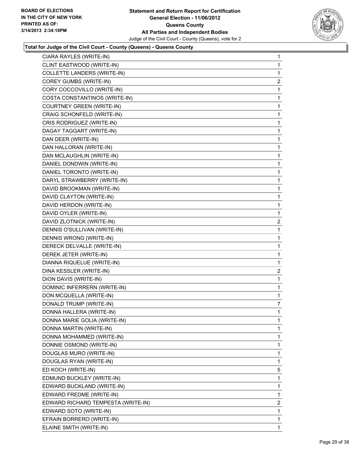

| CIARA RAYLES (WRITE-IN)            | 1              |
|------------------------------------|----------------|
| CLINT EASTWOOD (WRITE-IN)          | 1              |
| <b>COLLETTE LANDERS (WRITE-IN)</b> | 1              |
| COREY GUMBS (WRITE-IN)             | 2              |
| CORY COCCOVILLO (WRITE-IN)         | 1              |
| COSTA CONSTANTINOS (WRITE-IN)      | 1              |
| COURTNEY GREEN (WRITE-IN)          | 1              |
| CRAIG SCHONFELD (WRITE-IN)         | 1              |
| CRIS RODRIGUEZ (WRITE-IN)          | 1              |
| DAGAY TAGGART (WRITE-IN)           | 1              |
| DAN DEER (WRITE-IN)                | 1              |
| DAN HALLORAN (WRITE-IN)            | 1              |
| DAN MCLAUGHLIN (WRITE-IN)          | 1              |
| DANIEL DONDWIN (WRITE-IN)          | 1              |
| DANIEL TORONTO (WRITE-IN)          | 1              |
| DARYL STRAWBERRY (WRITE-IN)        | 1              |
| DAVID BROOKMAN (WRITE-IN)          | 1              |
| DAVID CLAYTON (WRITE-IN)           | 1              |
| DAVID HERDON (WRITE-IN)            | 1              |
| DAVID OYLER (WRITE-IN)             | 1              |
| DAVID ZLOTNICK (WRITE-IN)          | $\overline{2}$ |
| DENNIS O'SULLIVAN (WRITE-IN)       | 1              |
| DENNIS WRONG (WRITE-IN)            | 1              |
| DERECK DELVALLE (WRITE-IN)         | 1              |
| DEREK JETER (WRITE-IN)             | 1              |
| DIANNA RIQUELUE (WRITE-IN)         | 1              |
| DINA KESSLER (WRITE-IN)            | $\overline{2}$ |
| DION DAVIS (WRITE-IN)              | 1              |
| DOMINIC INFERRERN (WRITE-IN)       | 1              |
| DON MCQUELLA (WRITE-IN)            | 1              |
| DONALD TRUMP (WRITE-IN)            | 7              |
| DONNA HALLERA (WRITE-IN)           | 1              |
| DONNA MARIE GOLIA (WRITE-IN)       | 1              |
| DONNA MARTIN (WRITE-IN)            | 1              |
| DONNA MOHAMMED (WRITE-IN)          | 1              |
| DONNIE OSMOND (WRITE-IN)           | 1              |
| DOUGLAS MURO (WRITE-IN)            | 1              |
| DOUGLAS RYAN (WRITE-IN)            | 1              |
| ED KOCH (WRITE-IN)                 | 5              |
| EDMUND BUCKLEY (WRITE-IN)          | 1              |
| EDWARD BUCKLAND (WRITE-IN)         | 1              |
| EDWARD FREDME (WRITE-IN)           | 1              |
| EDWARD RICHARD TEMPESTA (WRITE-IN) | $\overline{2}$ |
| EDWARD SOTO (WRITE-IN)             | 1              |
| EFRAIN BORRERO (WRITE-IN)          | 1              |
| ELAINE SMITH (WRITE-IN)            | 1              |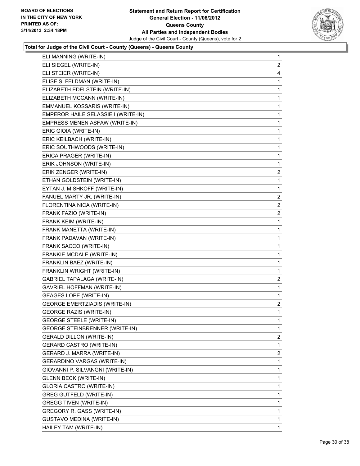

| $\mathbf{1}$            |
|-------------------------|
| 2                       |
| 4                       |
| 1                       |
| 1                       |
| 1                       |
| 1                       |
| 1                       |
| 1                       |
| 1                       |
| 1                       |
| 1                       |
| 1                       |
| 1                       |
| $\overline{\mathbf{c}}$ |
| 1                       |
| 1                       |
| $\overline{2}$          |
| $\overline{2}$          |
| 2                       |
| 1                       |
| 1                       |
| 1                       |
| 1                       |
| 1                       |
| 1                       |
| 1                       |
| 2                       |
| 1                       |
| 1                       |
| 2                       |
| 1                       |
| 1                       |
| $\mathbf{1}$            |
| $\mathbf{2}$            |
|                         |
| 1                       |
| 2                       |
| 1                       |
| 1                       |
| 1                       |
| 1                       |
| 1                       |
| 1                       |
| $\mathbf{1}$            |
| 1                       |
|                         |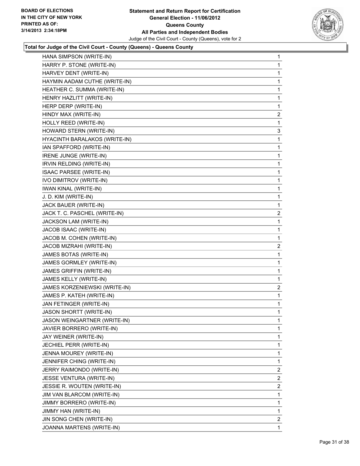

| HANA SIMPSON (WRITE-IN)             | 1              |
|-------------------------------------|----------------|
| HARRY P. STONE (WRITE-IN)           | 1              |
| HARVEY DENT (WRITE-IN)              | 1              |
| HAYMIN AADAM CUTHE (WRITE-IN)       | 1              |
| HEATHER C. SUMMA (WRITE-IN)         | 1              |
| HENRY HAZLITT (WRITE-IN)            | 1              |
| HERP DERP (WRITE-IN)                | 1              |
| HINDY MAX (WRITE-IN)                | $\overline{2}$ |
| HOLLY REED (WRITE-IN)               | 1              |
| HOWARD STERN (WRITE-IN)             | 3              |
| HYACINTH BARALAKOS (WRITE-IN)       | 1              |
| IAN SPAFFORD (WRITE-IN)             | 1              |
| IRENE JUNGE (WRITE-IN)              | 1              |
| IRVIN RELDING (WRITE-IN)            | 1              |
| <b>ISAAC PARSEE (WRITE-IN)</b>      | 1              |
| IVO DIMITROV (WRITE-IN)             | 1              |
| <b>IWAN KINAL (WRITE-IN)</b>        | 1              |
| J. D. KIM (WRITE-IN)                | 1              |
| JACK BAUER (WRITE-IN)               | 1              |
| JACK T. C. PASCHEL (WRITE-IN)       | 2              |
| JACKSON LAM (WRITE-IN)              | 1              |
| JACOB ISAAC (WRITE-IN)              | 1              |
| JACOB M. COHEN (WRITE-IN)           | 1              |
| JACOB MIZRAHI (WRITE-IN)            | 2              |
| JAMES BOTAS (WRITE-IN)              | 1              |
| JAMES GORMLEY (WRITE-IN)            | 1              |
| JAMES GRIFFIN (WRITE-IN)            | 1              |
| JAMES KELLY (WRITE-IN)              | 1              |
| JAMES KORZENIEWSKI (WRITE-IN)       | $\overline{2}$ |
| JAMES P. KATEH (WRITE-IN)           | 1              |
| JAN FETINGER (WRITE-IN)             | 1              |
| JASON SHORTT (WRITE-IN)             | 1              |
| <b>JASON WEINGARTNER (WRITE-IN)</b> | 1              |
| JAVIER BORRERO (WRITE-IN)           | 1              |
| JAY WEINER (WRITE-IN)               | 1              |
| JECHIEL PERR (WRITE-IN)             | 1              |
| JENNA MOUREY (WRITE-IN)             | 1              |
| JENNIFER CHING (WRITE-IN)           | 1              |
| JERRY RAIMONDO (WRITE-IN)           | $\overline{2}$ |
| JESSE VENTURA (WRITE-IN)            | 2              |
| JESSIE R. WOUTEN (WRITE-IN)         | $\overline{2}$ |
| JIM VAN BLARCOM (WRITE-IN)          | 1              |
| JIMMY BORRERO (WRITE-IN)            | 1              |
| JIMMY HAN (WRITE-IN)                | 1              |
| JIN SONG CHEN (WRITE-IN)            | $\overline{2}$ |
| JOANNA MARTENS (WRITE-IN)           | 1              |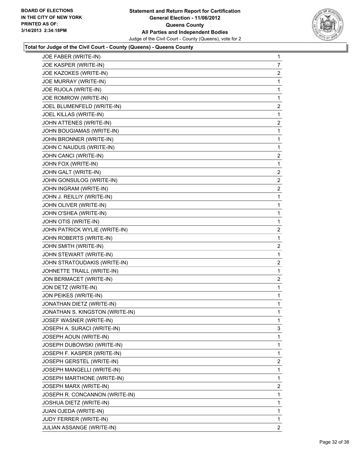

| JOE FABER (WRITE-IN)            | 1                       |
|---------------------------------|-------------------------|
| JOE KASPER (WRITE-IN)           | $\overline{7}$          |
| JOE KAZOKES (WRITE-IN)          | $\overline{2}$          |
| JOE MURRAY (WRITE-IN)           | 1                       |
| JOE RIJOLA (WRITE-IN)           | 1                       |
| JOE ROMROW (WRITE-IN)           | 1                       |
| JOEL BLUMENFELD (WRITE-IN)      | 2                       |
| JOEL KILLAS (WRITE-IN)          | 1                       |
| JOHN ATTENES (WRITE-IN)         | 2                       |
| JOHN BOUGIAMAS (WRITE-IN)       | 1                       |
| JOHN BRONNER (WRITE-IN)         | 1                       |
| JOHN C NAUDUS (WRITE-IN)        | 1                       |
| JOHN CANCI (WRITE-IN)           | 2                       |
| JOHN FOX (WRITE-IN)             | 1                       |
| JOHN GALT (WRITE-IN)            | 2                       |
| JOHN GONSULOG (WRITE-IN)        | 2                       |
| JOHN INGRAM (WRITE-IN)          | $\overline{\mathbf{c}}$ |
| JOHN J. REILLIY (WRITE-IN)      | 1                       |
| JOHN OLIVER (WRITE-IN)          | 1                       |
| JOHN O'SHEA (WRITE-IN)          | 1                       |
| JOHN OTIS (WRITE-IN)            | 1                       |
| JOHN PATRICK WYLIE (WRITE-IN)   | 2                       |
| JOHN ROBERTS (WRITE-IN)         | 1                       |
| JOHN SMITH (WRITE-IN)           | 2                       |
| JOHN STEWART (WRITE-IN)         | 1                       |
| JOHN STRATOUDAKIS (WRITE-IN)    | $\overline{\mathbf{c}}$ |
| JOHNETTE TRAILL (WRITE-IN)      | 1                       |
| JON BERMACET (WRITE-IN)         | 2                       |
| JON DETZ (WRITE-IN)             | 1                       |
| JON PEIKES (WRITE-IN)           | 1                       |
| JONATHAN DIETZ (WRITE-IN)       | 1                       |
| JONATHAN S. KINGSTON (WRITE-IN) | 1                       |
| JOSEF WASNER (WRITE-IN)         | 1                       |
| JOSEPH A. SURACI (WRITE-IN)     | 3                       |
| JOSEPH AOUN (WRITE-IN)          | 1                       |
| JOSEPH DUBOWSKI (WRITE-IN)      | 1                       |
| JOSEPH F. KASPER (WRITE-IN)     | 1                       |
| JOSEPH GERSTEL (WRITE-IN)       | 2                       |
| JOSEPH MANGELLI (WRITE-IN)      | 1                       |
| JOSEPH MARTHONE (WRITE-IN)      | 1                       |
| JOSEPH MARX (WRITE-IN)          | $\overline{c}$          |
| JOSEPH R. CONCANNON (WRITE-IN)  | 1                       |
| JOSHUA DIETZ (WRITE-IN)         | 1                       |
| JUAN OJEDA (WRITE-IN)           | 1                       |
| JUDY FERRER (WRITE-IN)          | 1                       |
| JULIAN ASSANGE (WRITE-IN)       | $\overline{2}$          |
|                                 |                         |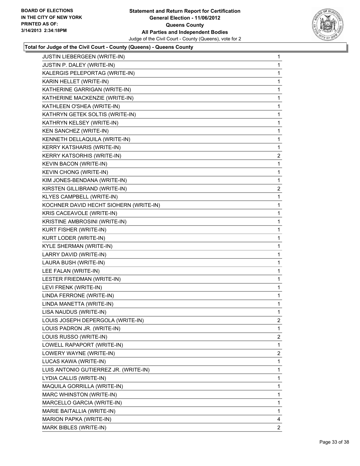

| JUSTIN LIEBERGEEN (WRITE-IN)           | 1              |
|----------------------------------------|----------------|
| JUSTIN P. DALEY (WRITE-IN)             | 1              |
| KALERGIS PELEPORTAG (WRITE-IN)         | 1              |
| KARIN HELLET (WRITE-IN)                | 1              |
| KATHERINE GARRIGAN (WRITE-IN)          | 1              |
| KATHERINE MACKENZIE (WRITE-IN)         | 1              |
| KATHLEEN O'SHEA (WRITE-IN)             | 1              |
| KATHRYN GETEK SOLTIS (WRITE-IN)        | 1              |
| KATHRYN KELSEY (WRITE-IN)              | 1              |
| KEN SANCHEZ (WRITE-IN)                 | 1              |
| KENNETH DELLAQUILA (WRITE-IN)          | 1              |
| <b>KERRY KATSHARIS (WRITE-IN)</b>      | 1              |
| <b>KERRY KATSORHIS (WRITE-IN)</b>      | $\overline{2}$ |
| KEVIN BACON (WRITE-IN)                 | 1              |
| KEVIN CHONG (WRITE-IN)                 | 1              |
| KIM JONES-BENDANA (WRITE-IN)           | 1              |
| KIRSTEN GILLIBRAND (WRITE-IN)          | 2              |
| KLYES CAMPBELL (WRITE-IN)              | 1              |
| KOCHNER DAVID HECHT SIOHERN (WRITE-IN) | 1              |
| KRIS CACEAVOLE (WRITE-IN)              | 1              |
| KRISTINE AMBROSINI (WRITE-IN)          | 1              |
| KURT FISHER (WRITE-IN)                 | 1              |
| KURT LODER (WRITE-IN)                  | 1              |
| KYLE SHERMAN (WRITE-IN)                | 1              |
| LARRY DAVID (WRITE-IN)                 | 1              |
| LAURA BUSH (WRITE-IN)                  | 1              |
| LEE FALAN (WRITE-IN)                   | 1              |
| LESTER FRIEDMAN (WRITE-IN)             | 1              |
| LEVI FRENK (WRITE-IN)                  | 1              |
| LINDA FERRONE (WRITE-IN)               | 1              |
| LINDA MANETTA (WRITE-IN)               | 1              |
| LISA NAUDUS (WRITE-IN)                 | 1              |
| LOUIS JOSEPH DEPERGOLA (WRITE-IN)      | 2              |
| LOUIS PADRON JR. (WRITE-IN)            | 1              |
| LOUIS RUSSO (WRITE-IN)                 | 2              |
| LOWELL RAPAPORT (WRITE-IN)             | 1              |
| LOWERY WAYNE (WRITE-IN)                | 2              |
| LUCAS KAWA (WRITE-IN)                  | 1              |
| LUIS ANTONIO GUTIERREZ JR. (WRITE-IN)  | 1              |
| LYDIA CALLIS (WRITE-IN)                | 1              |
| <b>MAQUILA GORRILLA (WRITE-IN)</b>     | 1              |
| MARC WHINSTON (WRITE-IN)               | 1              |
| MARCELLO GARCIA (WRITE-IN)             | 1              |
| MARIE BAITALLIA (WRITE-IN)             | 1              |
| MARION PAPKA (WRITE-IN)                | 4              |
| MARK BIBLES (WRITE-IN)                 | $\mathbf{2}$   |
|                                        |                |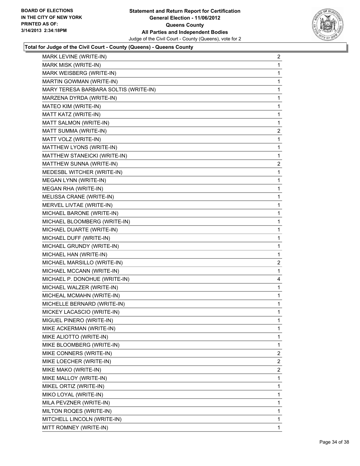

| MARK LEVINE (WRITE-IN)                | $\overline{2}$ |
|---------------------------------------|----------------|
| MARK MISK (WRITE-IN)                  | 1              |
| MARK WEISBERG (WRITE-IN)              | 1              |
| MARTIN GOWMAN (WRITE-IN)              | 1              |
| MARY TERESA BARBARA SOLTIS (WRITE-IN) | 1              |
| MARZENA DYRDA (WRITE-IN)              | 1              |
| MATEO KIM (WRITE-IN)                  | 1              |
| MATT KATZ (WRITE-IN)                  | 1              |
| MATT SALMON (WRITE-IN)                | 1              |
| MATT SUMMA (WRITE-IN)                 | $\overline{c}$ |
| MATT VOLZ (WRITE-IN)                  | 1              |
| MATTHEW LYONS (WRITE-IN)              | 1              |
| MATTHEW STANEICKI (WRITE-IN)          | 1              |
| MATTHEW SUNNA (WRITE-IN)              | $\overline{2}$ |
| MEDESBL WITCHER (WRITE-IN)            | 1              |
| MEGAN LYNN (WRITE-IN)                 | 1              |
| MEGAN RHA (WRITE-IN)                  | 1              |
| MELISSA CRANE (WRITE-IN)              | 1              |
| MERVEL LIVTAE (WRITE-IN)              | 1              |
| MICHAEL BARONE (WRITE-IN)             | 1              |
| MICHAEL BLOOMBERG (WRITE-IN)          | 1              |
| MICHAEL DUARTE (WRITE-IN)             | 1              |
| MICHAEL DUFF (WRITE-IN)               | 1              |
| MICHAEL GRUNDY (WRITE-IN)             | 1              |
| MICHAEL HAN (WRITE-IN)                | 1              |
| MICHAEL MARSILLO (WRITE-IN)           | 2              |
| MICHAEL MCCANN (WRITE-IN)             | 1              |
| MICHAEL P. DONOHUE (WRITE-IN)         | 4              |
| MICHAEL WALZER (WRITE-IN)             | 1              |
| MICHEAL MCMAHN (WRITE-IN)             | 1              |
| MICHELLE BERNARD (WRITE-IN)           | 1              |
| MICKEY LACASCIO (WRITE-IN)            | 1              |
| MIGUEL PINERO (WRITE-IN)              | 1              |
| MIKE ACKERMAN (WRITE-IN)              | 1              |
| MIKE ALIOTTO (WRITE-IN)               | 1              |
| MIKE BLOOMBERG (WRITE-IN)             | 1              |
| MIKE CONNERS (WRITE-IN)               | 2              |
| MIKE LOECHER (WRITE-IN)               | 2              |
| MIKE MAKO (WRITE-IN)                  | 2              |
| MIKE MALLOY (WRITE-IN)                | 1              |
| MIKEL ORTIZ (WRITE-IN)                | 1              |
| MIKO LOYAL (WRITE-IN)                 | 1              |
| MILA PEVZNER (WRITE-IN)               | 1              |
| MILTON ROQES (WRITE-IN)               | 1              |
| MITCHELL LINCOLN (WRITE-IN)           | 1              |
| MITT ROMNEY (WRITE-IN)                | $\mathbf 1$    |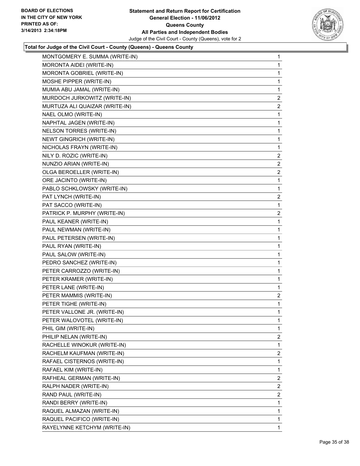

| MONTGOMERY E. SUMMA (WRITE-IN)  | $\mathbf 1$    |
|---------------------------------|----------------|
| MORONTA AIDEI (WRITE-IN)        | 1              |
| MORONTA GOBRIEL (WRITE-IN)      | 1              |
| MOSHE PIPPER (WRITE-IN)         | 1              |
| MUMIA ABU JAMAL (WRITE-IN)      | 1              |
| MURDOCH JURKOWITZ (WRITE-IN)    | $\mathbf{2}$   |
| MURTUZA ALI QUAIZAR (WRITE-IN)  | $\overline{c}$ |
| NAEL OLMO (WRITE-IN)            | 1              |
| NAPHTAL JAGEN (WRITE-IN)        | 1              |
| <b>NELSON TORRES (WRITE-IN)</b> | 1              |
| NEWT GINGRICH (WRITE-IN)        | 1              |
| NICHOLAS FRAYN (WRITE-IN)       | 1              |
| NILY D. ROZIC (WRITE-IN)        | 2              |
| NUNZIO ARIAN (WRITE-IN)         | 2              |
| OLGA BEROELLER (WRITE-IN)       | 2              |
| ORE JACINTO (WRITE-IN)          | $\mathbf{1}$   |
| PABLO SCHKLOWSKY (WRITE-IN)     | 1              |
| PAT LYNCH (WRITE-IN)            | $\mathbf{2}$   |
| PAT SACCO (WRITE-IN)            | $\mathbf 1$    |
| PATRICK P. MURPHY (WRITE-IN)    | 2              |
| PAUL KEANER (WRITE-IN)          | 1              |
| PAUL NEWMAN (WRITE-IN)          | 1              |
| PAUL PETERSEN (WRITE-IN)        | 1              |
| PAUL RYAN (WRITE-IN)            | 1              |
| PAUL SALOW (WRITE-IN)           | 1              |
| PEDRO SANCHEZ (WRITE-IN)        | 1              |
| PETER CARROZZO (WRITE-IN)       | 1              |
| PETER KRAMER (WRITE-IN)         | 1              |
| PETER LANE (WRITE-IN)           | 1              |
| PETER MAMMIS (WRITE-IN)         | $\mathbf{2}$   |
| PETER TIGHE (WRITE-IN)          | 1              |
| PETER VALLONE JR. (WRITE-IN)    | 1              |
| PETER WALOVOTEL (WRITE-IN)      | 1              |
| PHIL GIM (WRITE-IN)             | 1              |
| PHILIP NELAN (WRITE-IN)         | 2              |
| RACHELLE WINOKUR (WRITE-IN)     | 1              |
| RACHELM KAUFMAN (WRITE-IN)      | 2              |
| RAFAEL CISTERNOS (WRITE-IN)     | 1              |
| RAFAEL KIM (WRITE-IN)           | 1              |
| RAFHEAL GERMAN (WRITE-IN)       | $\mathbf{2}$   |
| RALPH NADER (WRITE-IN)          | 2              |
| RAND PAUL (WRITE-IN)            | 2              |
| RANDI BERRY (WRITE-IN)          | 1              |
| RAQUEL ALMAZAN (WRITE-IN)       | 1              |
| RAQUEL PACIFICO (WRITE-IN)      | 1              |
| RAYELYNNE KETCHYM (WRITE-IN)    | 1              |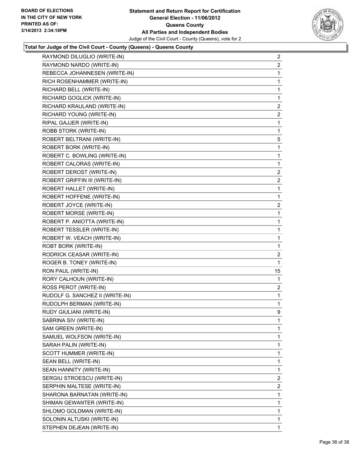

| RAYMOND NARDO (WRITE-IN)        | $\overline{2}$ |
|---------------------------------|----------------|
|                                 | $\mathbf{2}$   |
| REBECCA JOHANNESEN (WRITE-IN)   | 1              |
| RICH ROSENHAMMER (WRITE-IN)     | 1              |
| RICHARD BELL (WRITE-IN)         | 1              |
| RICHARD GOGLICK (WRITE-IN)      | 1              |
| RICHARD KRAULAND (WRITE-IN)     | $\overline{2}$ |
| RICHARD YOUNG (WRITE-IN)        | $\mathbf{2}$   |
| RIPAL GAJJER (WRITE-IN)         | 1              |
| ROBB STORK (WRITE-IN)           | 1              |
| ROBERT BELTRANI (WRITE-IN)      | 5              |
| ROBERT BORK (WRITE-IN)          | 1              |
| ROBERT C. BOWLING (WRITE-IN)    | 1              |
| ROBERT CALORAS (WRITE-IN)       | 1              |
| ROBERT DEROST (WRITE-IN)        | 2              |
| ROBERT GRIFFIN III (WRITE-IN)   | $\overline{2}$ |
| ROBERT HALLET (WRITE-IN)        | 1              |
| ROBERT HOFFENE (WRITE-IN)       | 1              |
| ROBERT JOYCE (WRITE-IN)         | 2              |
| ROBERT MORSE (WRITE-IN)         | 1              |
| ROBERT P. ANIOTTA (WRITE-IN)    | 1              |
| ROBERT TESSLER (WRITE-IN)       | 1              |
| ROBERT W. VEACH (WRITE-IN)      | 1              |
| ROBT BORK (WRITE-IN)            | 1              |
| RODRICK CEASAR (WRITE-IN)       | 2              |
|                                 |                |
| ROGER B. TONEY (WRITE-IN)       | 1              |
| RON PAUL (WRITE-IN)             | 15             |
| RORY CALHOUN (WRITE-IN)         | 1              |
| ROSS PEROT (WRITE-IN)           | 2              |
| RUDOLF G. SANCHEZ II (WRITE-IN) | 1              |
| RUDOLPH BERMAN (WRITE-IN)       | 1              |
| RUDY GIULIANI (WRITE-IN)        | 9              |
| SABRINA SIV (WRITE-IN)          | 1              |
| SAM GREEN (WRITE-IN)            | $\mathbf{1}$   |
| SAMUEL WOLFSON (WRITE-IN)       | 1              |
| SARAH PALIN (WRITE-IN)          | 1              |
| SCOTT HUMMER (WRITE-IN)         | 1              |
| SEAN BELL (WRITE-IN)            | $\mathbf{1}$   |
| SEAN HANNITY (WRITE-IN)         | 1              |
| SERGIU STROESCU (WRITE-IN)      | 2              |
| SERPHIN MALTESE (WRITE-IN)      | $\mathbf{2}$   |
| SHARONA BARNATAN (WRITE-IN)     | 1              |
| SHIMAN GEWANTER (WRITE-IN)      | 1              |
| SHLOMO GOLDMAN (WRITE-IN)       | $\mathbf{1}$   |
| SOLONIN ALTUSKI (WRITE-IN)      | 1              |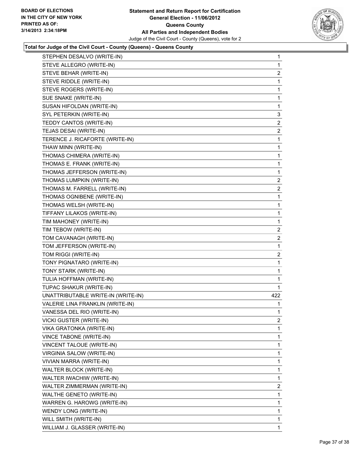

| STEPHEN DESALVO (WRITE-IN)         | 1              |
|------------------------------------|----------------|
| STEVE ALLEGRO (WRITE-IN)           | 1              |
| STEVE BEHAR (WRITE-IN)             | $\overline{2}$ |
| STEVE RIDDLE (WRITE-IN)            | 1              |
| STEVE ROGERS (WRITE-IN)            | 1              |
| SUE SNAKE (WRITE-IN)               | 1              |
| SUSAN HIFOLDAN (WRITE-IN)          | 1              |
| SYL PETERKIN (WRITE-IN)            | 3              |
| TEDDY CANTOS (WRITE-IN)            | 2              |
| TEJAS DESAI (WRITE-IN)             | 2              |
| TERENCE J. RICAFORTE (WRITE-IN)    | 1              |
| THAW MINN (WRITE-IN)               | 1              |
| THOMAS CHIMERA (WRITE-IN)          | 1              |
| THOMAS E. FRANK (WRITE-IN)         | 1              |
| THOMAS JEFFERSON (WRITE-IN)        | 1              |
| THOMAS LUMPKIN (WRITE-IN)          | $\overline{2}$ |
| THOMAS M. FARRELL (WRITE-IN)       | $\overline{2}$ |
| THOMAS OGNIBENE (WRITE-IN)         | 1              |
| THOMAS WELSH (WRITE-IN)            | 1              |
| TIFFANY LILAKOS (WRITE-IN)         | 1              |
| TIM MAHONEY (WRITE-IN)             | 1              |
| TIM TEBOW (WRITE-IN)               | $\overline{2}$ |
| TOM CAVANAGH (WRITE-IN)            | $\overline{2}$ |
| TOM JEFFERSON (WRITE-IN)           | 1              |
| TOM RIGGI (WRITE-IN)               | $\mathbf{2}$   |
| TONY PIGNATARO (WRITE-IN)          | 1              |
| TONY STARK (WRITE-IN)              | 1              |
| TULIA HOFFMAN (WRITE-IN)           | 1              |
| TUPAC SHAKUR (WRITE-IN)            | 1              |
| UNATTRIBUTABLE WRITE-IN (WRITE-IN) | 422            |
| VALERIE LINA FRANKLIN (WRITE-IN)   | 1              |
| VANESSA DEL RIO (WRITE-IN)         | 1              |
| VICKI GUSTER (WRITE-IN)            | 2              |
| VIKA GRATONKA (WRITE-IN)           | 1              |
| VINCE TABONE (WRITE-IN)            | 1              |
| VINCENT TALOUE (WRITE-IN)          | 1              |
| VIRGINIA SALOW (WRITE-IN)          | 1              |
| VIVIAN MARRA (WRITE-IN)            | 1              |
| WALTER BLOCK (WRITE-IN)            | 1              |
| WALTER IWACHIW (WRITE-IN)          | 1              |
| WALTER ZIMMERMAN (WRITE-IN)        | 2              |
| WALTHE GENETO (WRITE-IN)           | 1              |
| WARREN G. HAROWG (WRITE-IN)        | 1              |
| WENDY LONG (WRITE-IN)              | 1              |
| WILL SMITH (WRITE-IN)              | 1              |
| WILLIAM J. GLASSER (WRITE-IN)      | 1              |